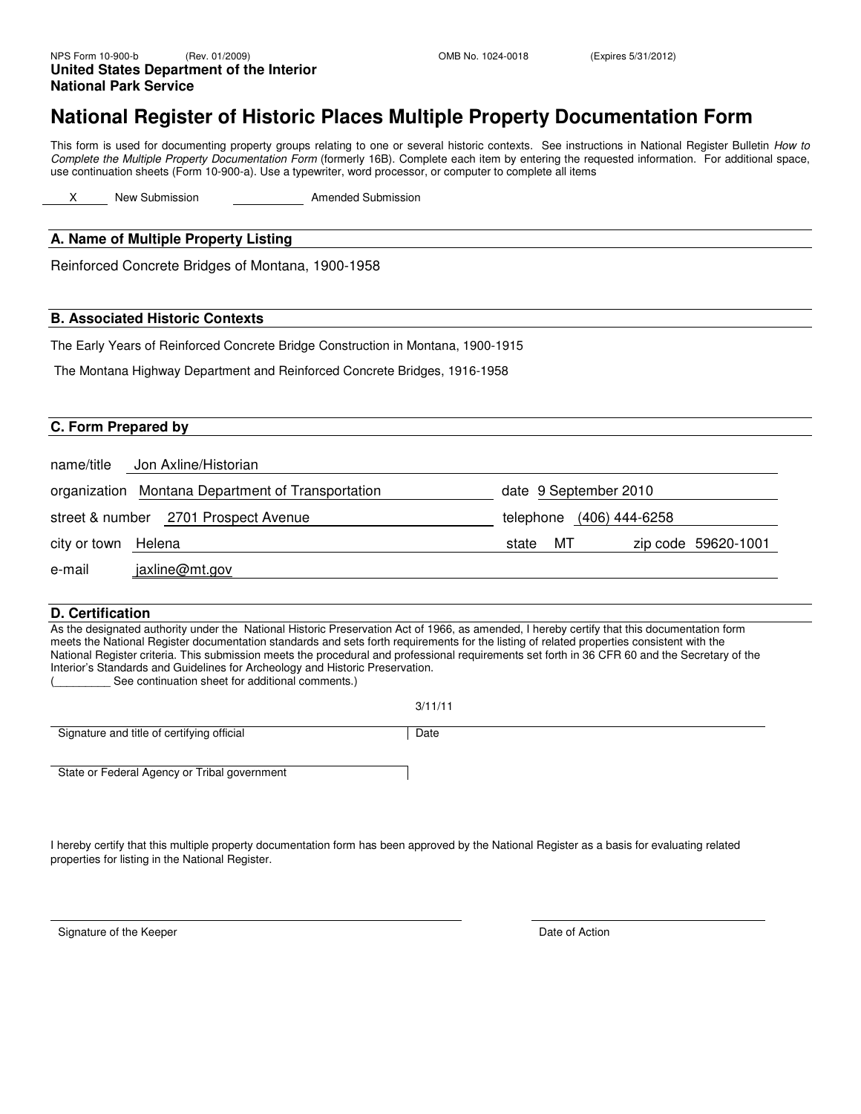### **National Register of Historic Places Multiple Property Documentation Form**

This form is used for documenting property groups relating to one or several historic contexts. See instructions in National Register Bulletin How to Complete the Multiple Property Documentation Form (formerly 16B). Complete each item by entering the requested information. For additional space, use continuation sheets (Form 10-900-a). Use a typewriter, word processor, or computer to complete all items

X New Submission **Amended Submission** 

#### **A. Name of Multiple Property Listing**

Reinforced Concrete Bridges of Montana, 1900-1958

#### **B. Associated Historic Contexts**

The Early Years of Reinforced Concrete Bridge Construction in Montana, 1900-1915

The Montana Highway Department and Reinforced Concrete Bridges, 1916-1958

#### **C. Form Prepared by**

| name/title          | Jon Axline/Historian                              |       |                          |                     |
|---------------------|---------------------------------------------------|-------|--------------------------|---------------------|
|                     | organization Montana Department of Transportation |       | date 9 September 2010    |                     |
|                     | street & number 2701 Prospect Avenue              |       | telephone (406) 444-6258 |                     |
| city or town Helena |                                                   | state | MT                       | zip code 59620-1001 |
| e-mail              | jaxline@mt.gov                                    |       |                          |                     |

#### **D. Certification**

As the designated authority under the National Historic Preservation Act of 1966, as amended, I hereby certify that this documentation form meets the National Register documentation standards and sets forth requirements for the listing of related properties consistent with the National Register criteria. This submission meets the procedural and professional requirements set forth in 36 CFR 60 and the Secretary of the Interior's Standards and Guidelines for Archeology and Historic Preservation.

See continuation sheet for additional comments.)

3/11/11

Signature and title of certifying official Date

State or Federal Agency or Tribal government

I hereby certify that this multiple property documentation form has been approved by the National Register as a basis for evaluating related properties for listing in the National Register.

Signature of the Keeper **Date of Action** Signature of the Keeper **Date of Action**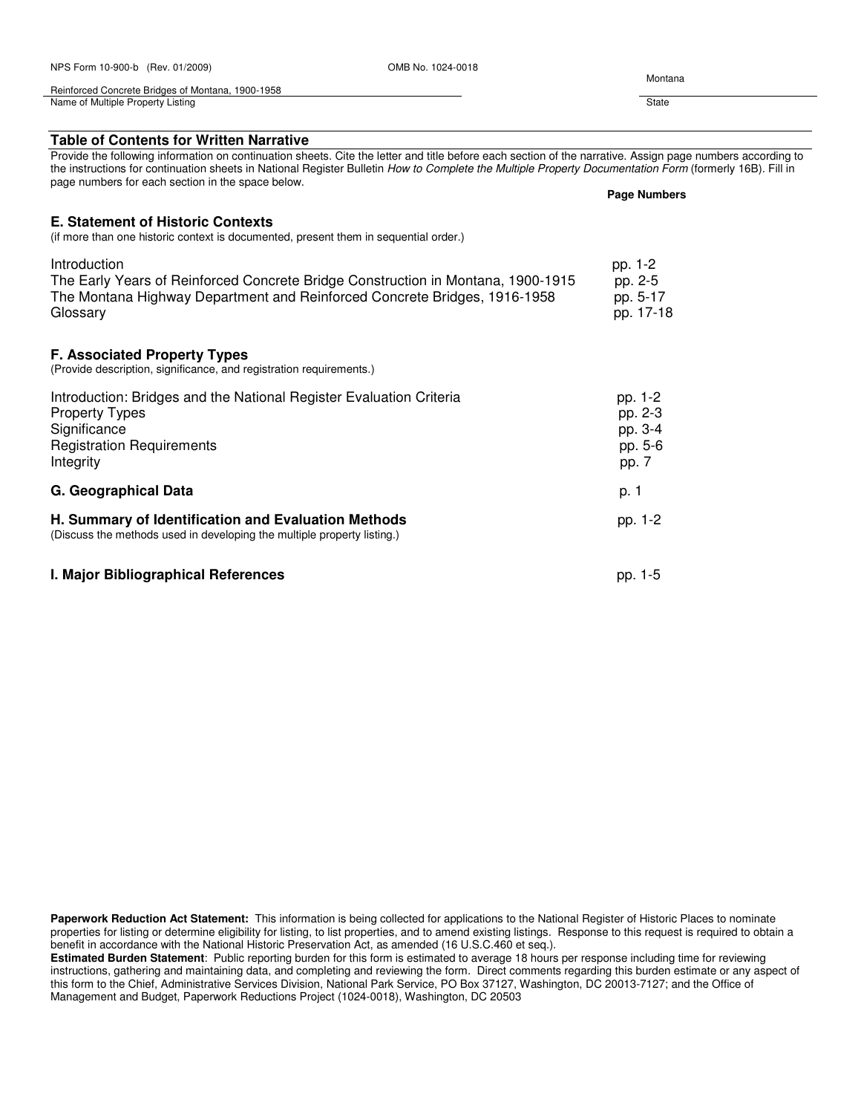| NPS Form 10-900-b (Rev. 01/2009)                                                                                                                                                                                                                                                                                                                                           | OMB No. 1024-0018 | Montana             |  |
|----------------------------------------------------------------------------------------------------------------------------------------------------------------------------------------------------------------------------------------------------------------------------------------------------------------------------------------------------------------------------|-------------------|---------------------|--|
| Reinforced Concrete Bridges of Montana, 1900-1958                                                                                                                                                                                                                                                                                                                          |                   |                     |  |
| Name of Multiple Property Listing                                                                                                                                                                                                                                                                                                                                          |                   | State               |  |
| <b>Table of Contents for Written Narrative</b>                                                                                                                                                                                                                                                                                                                             |                   |                     |  |
|                                                                                                                                                                                                                                                                                                                                                                            |                   |                     |  |
| Provide the following information on continuation sheets. Cite the letter and title before each section of the narrative. Assign page numbers according to<br>the instructions for continuation sheets in National Register Bulletin How to Complete the Multiple Property Documentation Form (formerly 16B). Fill in<br>page numbers for each section in the space below. |                   |                     |  |
|                                                                                                                                                                                                                                                                                                                                                                            |                   | <b>Page Numbers</b> |  |
| <b>E. Statement of Historic Contexts</b><br>(if more than one historic context is documented, present them in sequential order.)                                                                                                                                                                                                                                           |                   |                     |  |
| Introduction                                                                                                                                                                                                                                                                                                                                                               |                   | pp. 1-2             |  |

The Early Years of Reinforced Concrete Bridge Construction in Montana, 1900-1915 pp. 2-5 The Montana Highway Department and Reinforced Concrete Bridges, 1916-1958 pp. 5-17 Glossary pp. 17-18

**F. Associated Property Types**

(Provide description, significance, and registration requirements.)

| Introduction: Bridges and the National Register Evaluation Criteria<br><b>Property Types</b><br>Significance<br><b>Registration Requirements</b><br>Integrity | pp. 1-2<br>pp. 2-3<br>pp. 3-4<br>pp. 5-6<br>pp. 7 |
|---------------------------------------------------------------------------------------------------------------------------------------------------------------|---------------------------------------------------|
| G. Geographical Data                                                                                                                                          | p. 1                                              |
| H. Summary of Identification and Evaluation Methods<br>(Discuss the methods used in developing the multiple property listing.)                                | pp. 1-2                                           |
| I. Major Bibliographical References                                                                                                                           | pp. 1-5                                           |

**Paperwork Reduction Act Statement:** This information is being collected for applications to the National Register of Historic Places to nominate properties for listing or determine eligibility for listing, to list properties, and to amend existing listings. Response to this request is required to obtain a benefit in accordance with the National Historic Preservation Act, as amended (16 U.S.C.460 et seq.).

**Estimated Burden Statement**: Public reporting burden for this form is estimated to average 18 hours per response including time for reviewing instructions, gathering and maintaining data, and completing and reviewing the form. Direct comments regarding this burden estimate or any aspect of this form to the Chief, Administrative Services Division, National Park Service, PO Box 37127, Washington, DC 20013-7127; and the Office of Management and Budget, Paperwork Reductions Project (1024-0018), Washington, DC 20503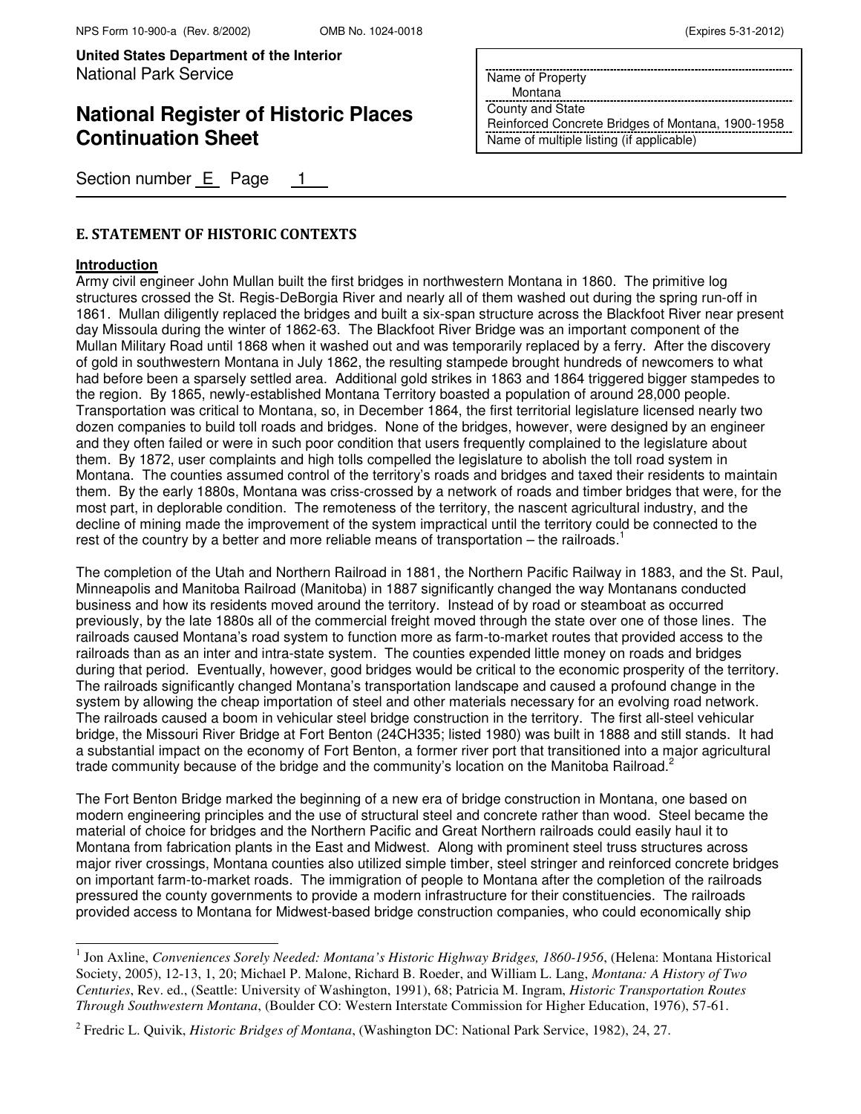# **National Register of Historic Places Continuation Sheet**

Section number E Page 1

### E. STATEMENT OF HISTORIC CONTEXTS

#### **Introduction**

 $\overline{ }$ 

Army civil engineer John Mullan built the first bridges in northwestern Montana in 1860. The primitive log structures crossed the St. Regis-DeBorgia River and nearly all of them washed out during the spring run-off in 1861. Mullan diligently replaced the bridges and built a six-span structure across the Blackfoot River near present day Missoula during the winter of 1862-63. The Blackfoot River Bridge was an important component of the Mullan Military Road until 1868 when it washed out and was temporarily replaced by a ferry. After the discovery of gold in southwestern Montana in July 1862, the resulting stampede brought hundreds of newcomers to what had before been a sparsely settled area. Additional gold strikes in 1863 and 1864 triggered bigger stampedes to the region. By 1865, newly-established Montana Territory boasted a population of around 28,000 people. Transportation was critical to Montana, so, in December 1864, the first territorial legislature licensed nearly two dozen companies to build toll roads and bridges. None of the bridges, however, were designed by an engineer and they often failed or were in such poor condition that users frequently complained to the legislature about them. By 1872, user complaints and high tolls compelled the legislature to abolish the toll road system in Montana. The counties assumed control of the territory's roads and bridges and taxed their residents to maintain them. By the early 1880s, Montana was criss-crossed by a network of roads and timber bridges that were, for the most part, in deplorable condition. The remoteness of the territory, the nascent agricultural industry, and the decline of mining made the improvement of the system impractical until the territory could be connected to the rest of the country by a better and more reliable means of transportation  $-$  the railroads.<sup>1</sup>

The completion of the Utah and Northern Railroad in 1881, the Northern Pacific Railway in 1883, and the St. Paul, Minneapolis and Manitoba Railroad (Manitoba) in 1887 significantly changed the way Montanans conducted business and how its residents moved around the territory. Instead of by road or steamboat as occurred previously, by the late 1880s all of the commercial freight moved through the state over one of those lines. The railroads caused Montana's road system to function more as farm-to-market routes that provided access to the railroads than as an inter and intra-state system. The counties expended little money on roads and bridges during that period. Eventually, however, good bridges would be critical to the economic prosperity of the territory. The railroads significantly changed Montana's transportation landscape and caused a profound change in the system by allowing the cheap importation of steel and other materials necessary for an evolving road network. The railroads caused a boom in vehicular steel bridge construction in the territory. The first all-steel vehicular bridge, the Missouri River Bridge at Fort Benton (24CH335; listed 1980) was built in 1888 and still stands. It had a substantial impact on the economy of Fort Benton, a former river port that transitioned into a major agricultural trade community because of the bridge and the community's location on the Manitoba Railroad.<sup>2</sup>

The Fort Benton Bridge marked the beginning of a new era of bridge construction in Montana, one based on modern engineering principles and the use of structural steel and concrete rather than wood. Steel became the material of choice for bridges and the Northern Pacific and Great Northern railroads could easily haul it to Montana from fabrication plants in the East and Midwest. Along with prominent steel truss structures across major river crossings, Montana counties also utilized simple timber, steel stringer and reinforced concrete bridges on important farm-to-market roads. The immigration of people to Montana after the completion of the railroads pressured the county governments to provide a modern infrastructure for their constituencies. The railroads provided access to Montana for Midwest-based bridge construction companies, who could economically ship

Name of Property

Montana

County and State Reinforced Concrete Bridges of Montana, 1900-1958 Name of multiple listing (if applicable)

<sup>&</sup>lt;sup>1</sup> Jon Axline, *Conveniences Sorely Needed: Montana's Historic Highway Bridges, 1860-1956*, (Helena: Montana Historical Society, 2005), 12-13, 1, 20; Michael P. Malone, Richard B. Roeder, and William L. Lang, *Montana: A History of Two Centuries*, Rev. ed., (Seattle: University of Washington, 1991), 68; Patricia M. Ingram, *Historic Transportation Routes Through Southwestern Montana*, (Boulder CO: Western Interstate Commission for Higher Education, 1976), 57-61.

<sup>2</sup> Fredric L. Quivik, *Historic Bridges of Montana*, (Washington DC: National Park Service, 1982), 24, 27.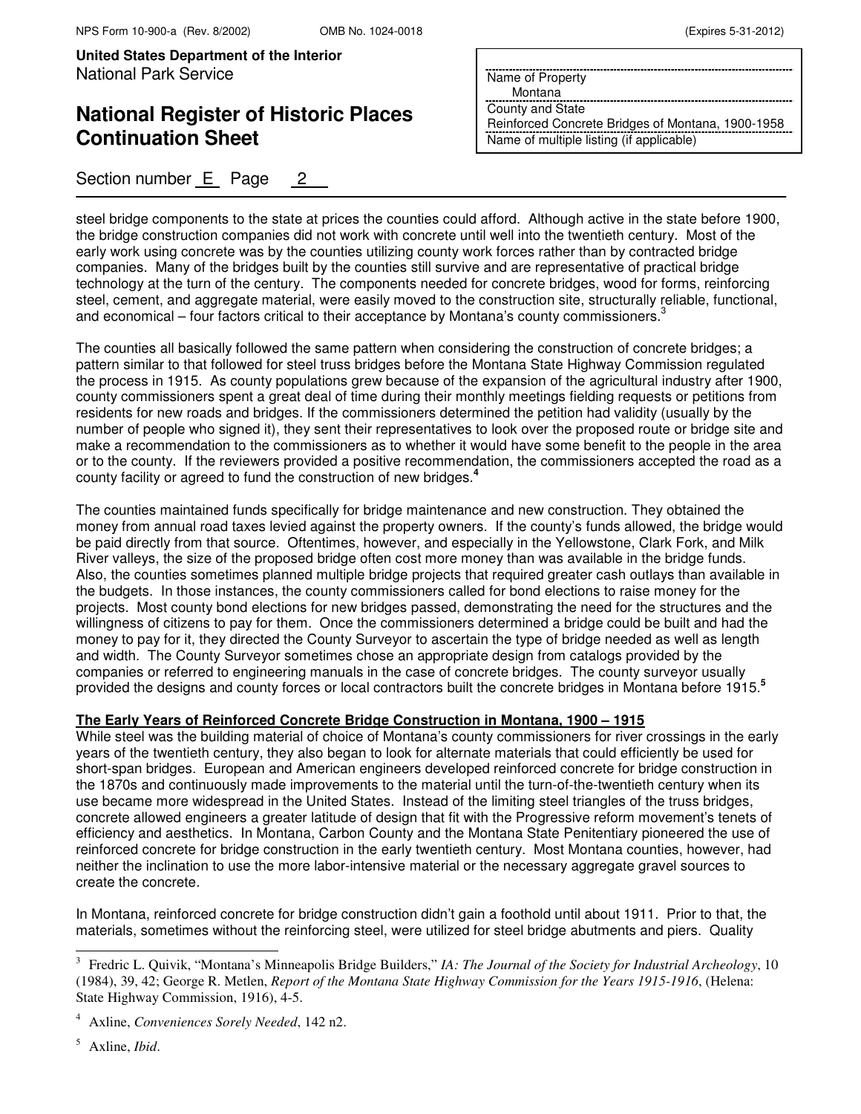# **National Register of Historic Places Continuation Sheet**

Section number E Page 2

Name of Property

Montana

County and State Reinforced Concrete Bridges of Montana, 1900-1958 Name of multiple listing (if applicable)

steel bridge components to the state at prices the counties could afford. Although active in the state before 1900, the bridge construction companies did not work with concrete until well into the twentieth century. Most of the early work using concrete was by the counties utilizing county work forces rather than by contracted bridge companies. Many of the bridges built by the counties still survive and are representative of practical bridge technology at the turn of the century. The components needed for concrete bridges, wood for forms, reinforcing steel, cement, and aggregate material, were easily moved to the construction site, structurally reliable, functional, and economical – four factors critical to their acceptance by Montana's county commissioners.<sup>3</sup>

The counties all basically followed the same pattern when considering the construction of concrete bridges; a pattern similar to that followed for steel truss bridges before the Montana State Highway Commission regulated the process in 1915. As county populations grew because of the expansion of the agricultural industry after 1900, county commissioners spent a great deal of time during their monthly meetings fielding requests or petitions from residents for new roads and bridges. If the commissioners determined the petition had validity (usually by the number of people who signed it), they sent their representatives to look over the proposed route or bridge site and make a recommendation to the commissioners as to whether it would have some benefit to the people in the area or to the county. If the reviewers provided a positive recommendation, the commissioners accepted the road as a county facility or agreed to fund the construction of new bridges.**<sup>4</sup>**

The counties maintained funds specifically for bridge maintenance and new construction. They obtained the money from annual road taxes levied against the property owners. If the county's funds allowed, the bridge would be paid directly from that source. Oftentimes, however, and especially in the Yellowstone, Clark Fork, and Milk River valleys, the size of the proposed bridge often cost more money than was available in the bridge funds. Also, the counties sometimes planned multiple bridge projects that required greater cash outlays than available in the budgets. In those instances, the county commissioners called for bond elections to raise money for the projects. Most county bond elections for new bridges passed, demonstrating the need for the structures and the willingness of citizens to pay for them. Once the commissioners determined a bridge could be built and had the money to pay for it, they directed the County Surveyor to ascertain the type of bridge needed as well as length and width. The County Surveyor sometimes chose an appropriate design from catalogs provided by the companies or referred to engineering manuals in the case of concrete bridges. The county surveyor usually provided the designs and county forces or local contractors built the concrete bridges in Montana before 1915.**<sup>5</sup>**

### **The Early Years of Reinforced Concrete Bridge Construction in Montana, 1900 – 1915**

While steel was the building material of choice of Montana's county commissioners for river crossings in the early years of the twentieth century, they also began to look for alternate materials that could efficiently be used for short-span bridges. European and American engineers developed reinforced concrete for bridge construction in the 1870s and continuously made improvements to the material until the turn-of-the-twentieth century when its use became more widespread in the United States. Instead of the limiting steel triangles of the truss bridges, concrete allowed engineers a greater latitude of design that fit with the Progressive reform movement's tenets of efficiency and aesthetics. In Montana, Carbon County and the Montana State Penitentiary pioneered the use of reinforced concrete for bridge construction in the early twentieth century. Most Montana counties, however, had neither the inclination to use the more labor-intensive material or the necessary aggregate gravel sources to create the concrete.

In Montana, reinforced concrete for bridge construction didn't gain a foothold until about 1911. Prior to that, the materials, sometimes without the reinforcing steel, were utilized for steel bridge abutments and piers. Quality

 $\overline{ }$ 

<sup>3</sup> Fredric L. Quivik, "Montana's Minneapolis Bridge Builders," *IA: The Journal of the Society for Industrial Archeology*, 10 (1984), 39, 42; George R. Metlen, *Report of the Montana State Highway Commission for the Years 1915-1916*, (Helena: State Highway Commission, 1916), 4-5.

<sup>4</sup> Axline, *Conveniences Sorely Needed*, 142 n2.

<sup>5</sup> Axline, *Ibid*.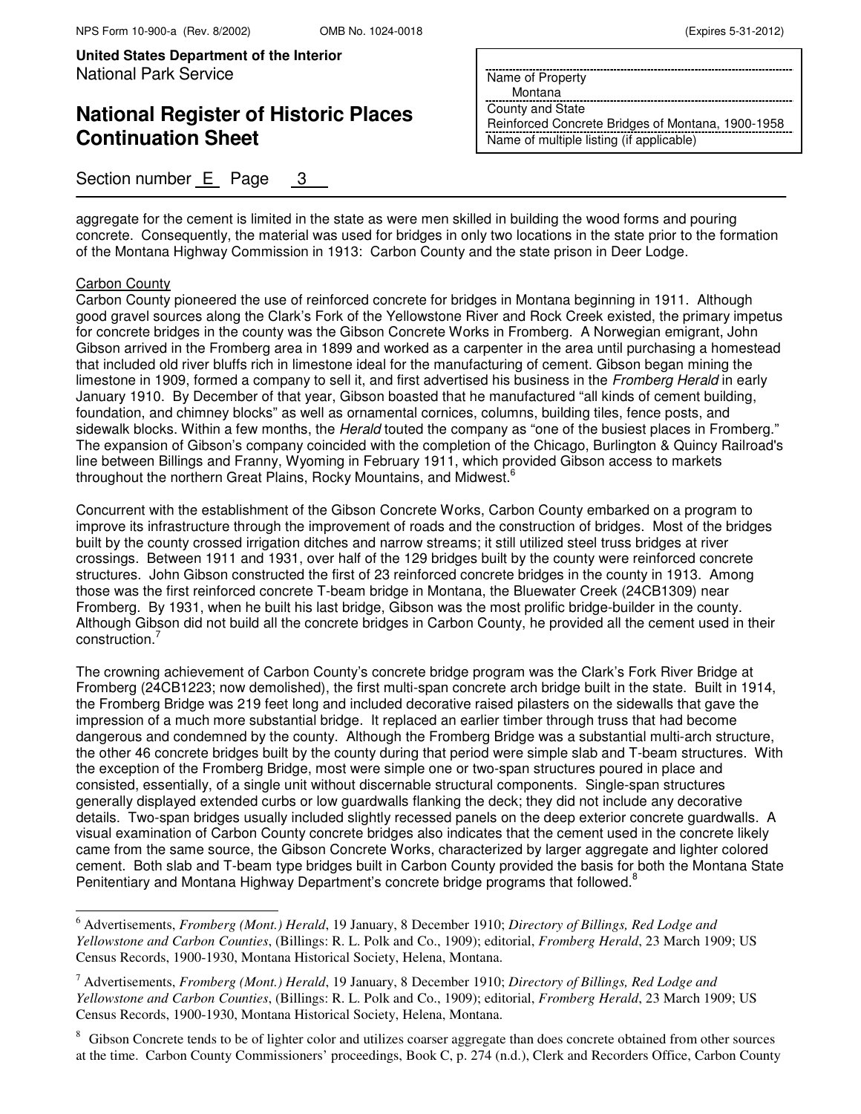## **National Register of Historic Places Continuation Sheet**

### Section number E Page 3

Name of Property

Montana

County and State Reinforced Concrete Bridges of Montana, 1900-1958 Name of multiple listing (if applicable)

aggregate for the cement is limited in the state as were men skilled in building the wood forms and pouring concrete. Consequently, the material was used for bridges in only two locations in the state prior to the formation of the Montana Highway Commission in 1913: Carbon County and the state prison in Deer Lodge.

### Carbon County

 $\overline{\phantom{0}}$ 

Carbon County pioneered the use of reinforced concrete for bridges in Montana beginning in 1911. Although good gravel sources along the Clark's Fork of the Yellowstone River and Rock Creek existed, the primary impetus for concrete bridges in the county was the Gibson Concrete Works in Fromberg. A Norwegian emigrant, John Gibson arrived in the Fromberg area in 1899 and worked as a carpenter in the area until purchasing a homestead that included old river bluffs rich in limestone ideal for the manufacturing of cement. Gibson began mining the limestone in 1909, formed a company to sell it, and first advertised his business in the Fromberg Herald in early January 1910. By December of that year, Gibson boasted that he manufactured "all kinds of cement building, foundation, and chimney blocks" as well as ornamental cornices, columns, building tiles, fence posts, and sidewalk blocks. Within a few months, the *Herald* touted the company as "one of the busiest places in Fromberg." The expansion of Gibson's company coincided with the completion of the Chicago, Burlington & Quincy Railroad's line between Billings and Franny, Wyoming in February 1911, which provided Gibson access to markets throughout the northern Great Plains, Rocky Mountains, and Midwest.<sup>6</sup>

Concurrent with the establishment of the Gibson Concrete Works, Carbon County embarked on a program to improve its infrastructure through the improvement of roads and the construction of bridges. Most of the bridges built by the county crossed irrigation ditches and narrow streams; it still utilized steel truss bridges at river crossings. Between 1911 and 1931, over half of the 129 bridges built by the county were reinforced concrete structures. John Gibson constructed the first of 23 reinforced concrete bridges in the county in 1913. Among those was the first reinforced concrete T-beam bridge in Montana, the Bluewater Creek (24CB1309) near Fromberg. By 1931, when he built his last bridge, Gibson was the most prolific bridge-builder in the county. Although Gibson did not build all the concrete bridges in Carbon County, he provided all the cement used in their construction.

The crowning achievement of Carbon County's concrete bridge program was the Clark's Fork River Bridge at Fromberg (24CB1223; now demolished), the first multi-span concrete arch bridge built in the state. Built in 1914, the Fromberg Bridge was 219 feet long and included decorative raised pilasters on the sidewalls that gave the impression of a much more substantial bridge. It replaced an earlier timber through truss that had become dangerous and condemned by the county. Although the Fromberg Bridge was a substantial multi-arch structure, the other 46 concrete bridges built by the county during that period were simple slab and T-beam structures. With the exception of the Fromberg Bridge, most were simple one or two-span structures poured in place and consisted, essentially, of a single unit without discernable structural components. Single-span structures generally displayed extended curbs or low guardwalls flanking the deck; they did not include any decorative details. Two-span bridges usually included slightly recessed panels on the deep exterior concrete guardwalls. A visual examination of Carbon County concrete bridges also indicates that the cement used in the concrete likely came from the same source, the Gibson Concrete Works, characterized by larger aggregate and lighter colored cement. Both slab and T-beam type bridges built in Carbon County provided the basis for both the Montana State Penitentiary and Montana Highway Department's concrete bridge programs that followed.<sup>8</sup>

<sup>6</sup> Advertisements, *Fromberg (Mont.) Herald*, 19 January, 8 December 1910; *Directory of Billings, Red Lodge and Yellowstone and Carbon Counties*, (Billings: R. L. Polk and Co., 1909); editorial, *Fromberg Herald*, 23 March 1909; US Census Records, 1900-1930, Montana Historical Society, Helena, Montana.

<sup>7</sup> Advertisements, *Fromberg (Mont.) Herald*, 19 January, 8 December 1910; *Directory of Billings, Red Lodge and Yellowstone and Carbon Counties*, (Billings: R. L. Polk and Co., 1909); editorial, *Fromberg Herald*, 23 March 1909; US Census Records, 1900-1930, Montana Historical Society, Helena, Montana.

Gibson Concrete tends to be of lighter color and utilizes coarser aggregate than does concrete obtained from other sources at the time. Carbon County Commissioners' proceedings, Book C, p. 274 (n.d.), Clerk and Recorders Office, Carbon County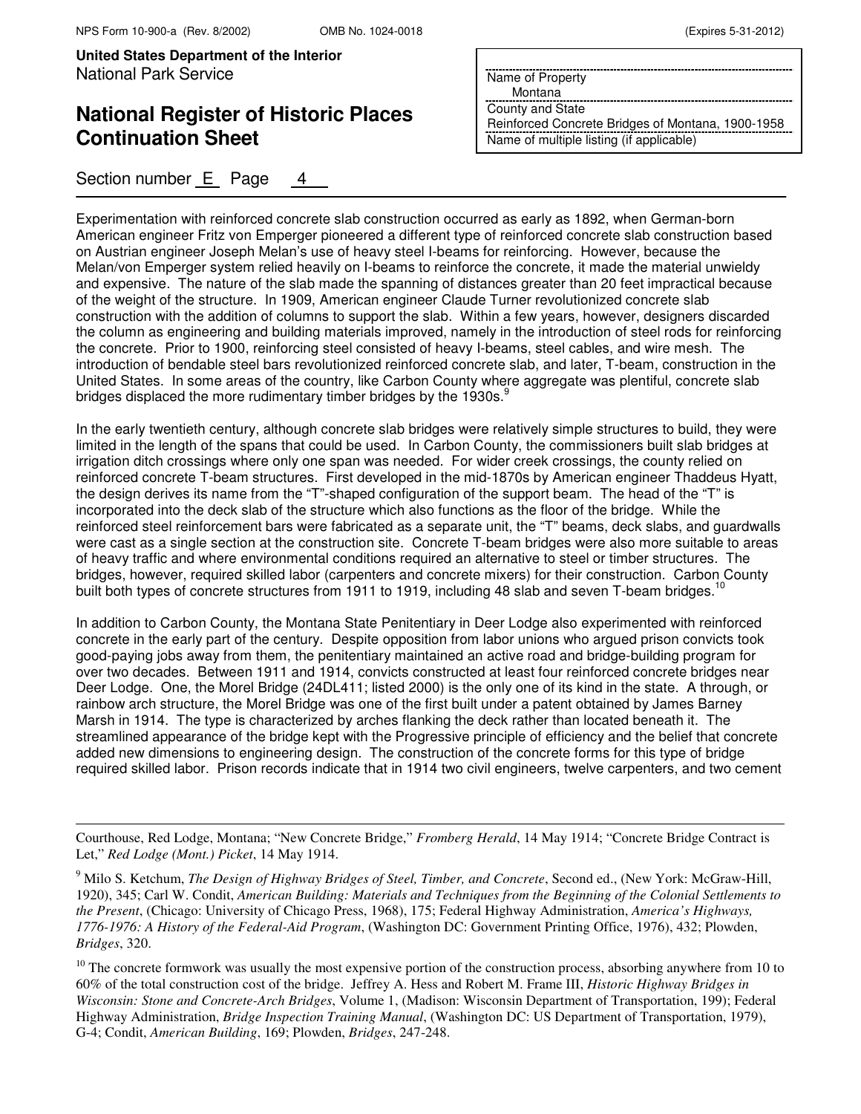$\overline{a}$ 

**United States Department of the Interior** National Park Service

# **National Register of Historic Places Continuation Sheet**

### Section number E Page

|  | Name of Property |
|--|------------------|

Montana

County and State Reinforced Concrete Bridges of Montana, 1900-1958 Name of multiple listing (if applicable)

Experimentation with reinforced concrete slab construction occurred as early as 1892, when German-born American engineer Fritz von Emperger pioneered a different type of reinforced concrete slab construction based on Austrian engineer Joseph Melan's use of heavy steel I-beams for reinforcing. However, because the Melan/von Emperger system relied heavily on I-beams to reinforce the concrete, it made the material unwieldy and expensive. The nature of the slab made the spanning of distances greater than 20 feet impractical because of the weight of the structure. In 1909, American engineer Claude Turner revolutionized concrete slab construction with the addition of columns to support the slab. Within a few years, however, designers discarded the column as engineering and building materials improved, namely in the introduction of steel rods for reinforcing the concrete. Prior to 1900, reinforcing steel consisted of heavy I-beams, steel cables, and wire mesh. The introduction of bendable steel bars revolutionized reinforced concrete slab, and later, T-beam, construction in the United States. In some areas of the country, like Carbon County where aggregate was plentiful, concrete slab bridges displaced the more rudimentary timber bridges by the 1930s. $^9$ 

In the early twentieth century, although concrete slab bridges were relatively simple structures to build, they were limited in the length of the spans that could be used. In Carbon County, the commissioners built slab bridges at irrigation ditch crossings where only one span was needed. For wider creek crossings, the county relied on reinforced concrete T-beam structures. First developed in the mid-1870s by American engineer Thaddeus Hyatt, the design derives its name from the "T"-shaped configuration of the support beam. The head of the "T" is incorporated into the deck slab of the structure which also functions as the floor of the bridge. While the reinforced steel reinforcement bars were fabricated as a separate unit, the "T" beams, deck slabs, and guardwalls were cast as a single section at the construction site. Concrete T-beam bridges were also more suitable to areas of heavy traffic and where environmental conditions required an alternative to steel or timber structures. The bridges, however, required skilled labor (carpenters and concrete mixers) for their construction. Carbon County built both types of concrete structures from 1911 to 1919, including 48 slab and seven T-beam bridges.<sup>10</sup>

In addition to Carbon County, the Montana State Penitentiary in Deer Lodge also experimented with reinforced concrete in the early part of the century. Despite opposition from labor unions who argued prison convicts took good-paying jobs away from them, the penitentiary maintained an active road and bridge-building program for over two decades. Between 1911 and 1914, convicts constructed at least four reinforced concrete bridges near Deer Lodge. One, the Morel Bridge (24DL411; listed 2000) is the only one of its kind in the state. A through, or rainbow arch structure, the Morel Bridge was one of the first built under a patent obtained by James Barney Marsh in 1914. The type is characterized by arches flanking the deck rather than located beneath it. The streamlined appearance of the bridge kept with the Progressive principle of efficiency and the belief that concrete added new dimensions to engineering design. The construction of the concrete forms for this type of bridge required skilled labor. Prison records indicate that in 1914 two civil engineers, twelve carpenters, and two cement

Courthouse, Red Lodge, Montana; "New Concrete Bridge," *Fromberg Herald*, 14 May 1914; "Concrete Bridge Contract is Let," *Red Lodge (Mont.) Picket*, 14 May 1914.

<sup>&</sup>lt;sup>9</sup> Milo S. Ketchum, *The Design of Highway Bridges of Steel, Timber, and Concrete*, Second ed., (New York: McGraw-Hill, 1920), 345; Carl W. Condit, *American Building: Materials and Techniques from the Beginning of the Colonial Settlements to the Present*, (Chicago: University of Chicago Press, 1968), 175; Federal Highway Administration, *America's Highways, 1776-1976: A History of the Federal-Aid Program*, (Washington DC: Government Printing Office, 1976), 432; Plowden, *Bridges*, 320.

 $10$  The concrete formwork was usually the most expensive portion of the construction process, absorbing anywhere from 10 to 60% of the total construction cost of the bridge. Jeffrey A. Hess and Robert M. Frame III, *Historic Highway Bridges in Wisconsin: Stone and Concrete-Arch Bridges*, Volume 1, (Madison: Wisconsin Department of Transportation, 199); Federal Highway Administration, *Bridge Inspection Training Manual*, (Washington DC: US Department of Transportation, 1979), G-4; Condit, *American Building*, 169; Plowden, *Bridges*, 247-248.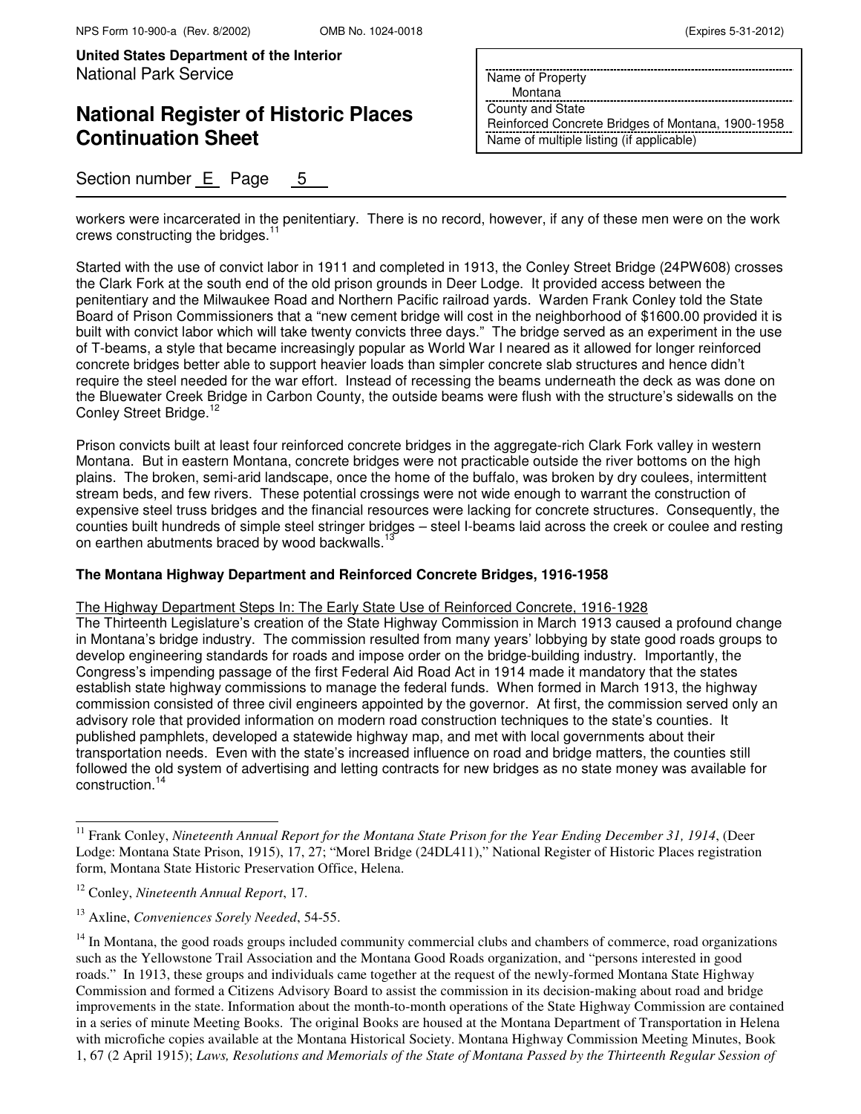# **National Register of Historic Places Continuation Sheet**

Section number E Page 5

Name of Property

Montana

County and State Reinforced Concrete Bridges of Montana, 1900-1958 Name of multiple listing (if applicable)

workers were incarcerated in the penitentiary. There is no record, however, if any of these men were on the work crews constructing the bridges. $11$ 

Started with the use of convict labor in 1911 and completed in 1913, the Conley Street Bridge (24PW608) crosses the Clark Fork at the south end of the old prison grounds in Deer Lodge. It provided access between the penitentiary and the Milwaukee Road and Northern Pacific railroad yards. Warden Frank Conley told the State Board of Prison Commissioners that a "new cement bridge will cost in the neighborhood of \$1600.00 provided it is built with convict labor which will take twenty convicts three days." The bridge served as an experiment in the use of T-beams, a style that became increasingly popular as World War I neared as it allowed for longer reinforced concrete bridges better able to support heavier loads than simpler concrete slab structures and hence didn't require the steel needed for the war effort. Instead of recessing the beams underneath the deck as was done on the Bluewater Creek Bridge in Carbon County, the outside beams were flush with the structure's sidewalls on the Conley Street Bridge.<sup>1</sup>

Prison convicts built at least four reinforced concrete bridges in the aggregate-rich Clark Fork valley in western Montana. But in eastern Montana, concrete bridges were not practicable outside the river bottoms on the high plains. The broken, semi-arid landscape, once the home of the buffalo, was broken by dry coulees, intermittent stream beds, and few rivers. These potential crossings were not wide enough to warrant the construction of expensive steel truss bridges and the financial resources were lacking for concrete structures. Consequently, the counties built hundreds of simple steel stringer bridges – steel I-beams laid across the creek or coulee and resting on earthen abutments braced by wood backwalls.<sup>1</sup>

### **The Montana Highway Department and Reinforced Concrete Bridges, 1916-1958**

The Highway Department Steps In: The Early State Use of Reinforced Concrete, 1916-1928

The Thirteenth Legislature's creation of the State Highway Commission in March 1913 caused a profound change in Montana's bridge industry. The commission resulted from many years' lobbying by state good roads groups to develop engineering standards for roads and impose order on the bridge-building industry. Importantly, the Congress's impending passage of the first Federal Aid Road Act in 1914 made it mandatory that the states establish state highway commissions to manage the federal funds. When formed in March 1913, the highway commission consisted of three civil engineers appointed by the governor. At first, the commission served only an advisory role that provided information on modern road construction techniques to the state's counties. It published pamphlets, developed a statewide highway map, and met with local governments about their transportation needs. Even with the state's increased influence on road and bridge matters, the counties still followed the old system of advertising and letting contracts for new bridges as no state money was available for construction.<sup>14</sup>

 $\overline{a}$ 

<sup>&</sup>lt;sup>11</sup> Frank Conley, *Nineteenth Annual Report for the Montana State Prison for the Year Ending December 31, 1914*, (Deer Lodge: Montana State Prison, 1915), 17, 27; "Morel Bridge (24DL411)," National Register of Historic Places registration form, Montana State Historic Preservation Office, Helena.

<sup>12</sup> Conley, *Nineteenth Annual Report*, 17.

<sup>13</sup> Axline, *Conveniences Sorely Needed*, 54-55.

 $14$  In Montana, the good roads groups included community commercial clubs and chambers of commerce, road organizations such as the Yellowstone Trail Association and the Montana Good Roads organization, and "persons interested in good roads." In 1913, these groups and individuals came together at the request of the newly-formed Montana State Highway Commission and formed a Citizens Advisory Board to assist the commission in its decision-making about road and bridge improvements in the state. Information about the month-to-month operations of the State Highway Commission are contained in a series of minute Meeting Books. The original Books are housed at the Montana Department of Transportation in Helena with microfiche copies available at the Montana Historical Society. Montana Highway Commission Meeting Minutes, Book 1, 67 (2 April 1915); *Laws, Resolutions and Memorials of the State of Montana Passed by the Thirteenth Regular Session of*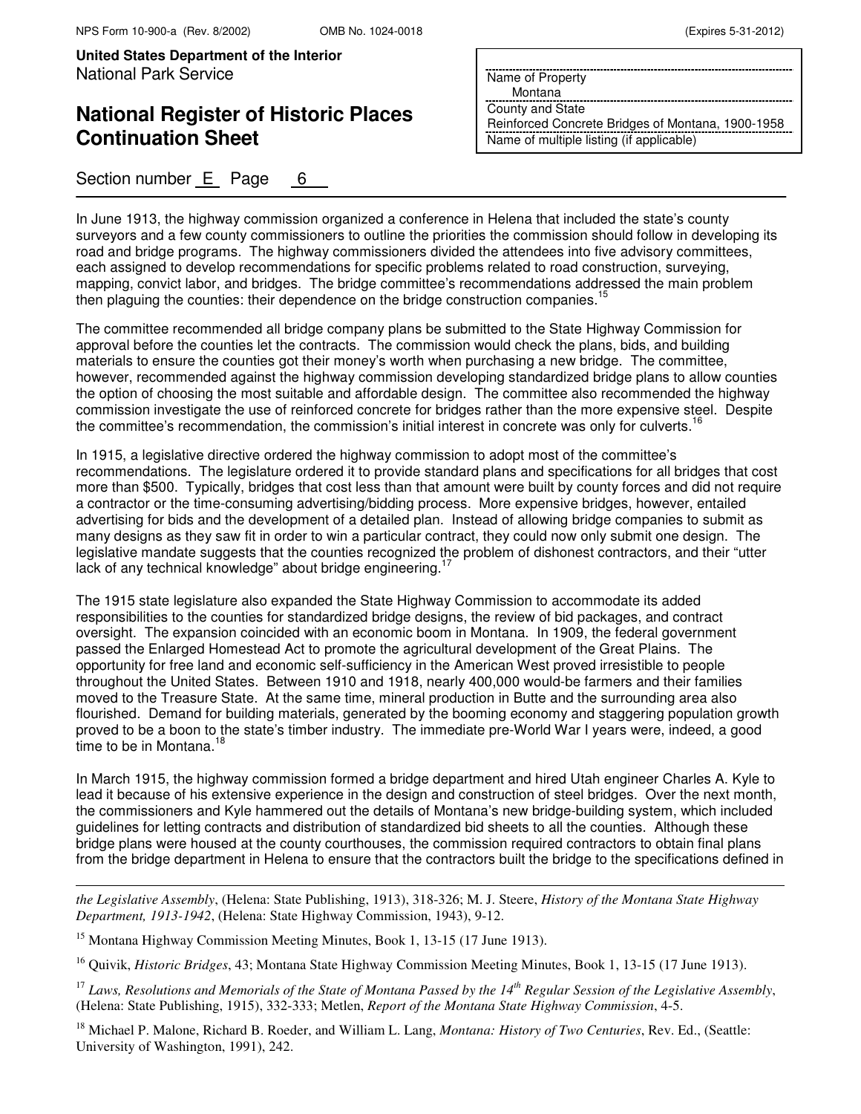# **National Register of Historic Places Continuation Sheet**

Section number E Page 6

Name of Property

Montana

County and State Reinforced Concrete Bridges of Montana, 1900-1958 Name of multiple listing (if applicable)

In June 1913, the highway commission organized a conference in Helena that included the state's county surveyors and a few county commissioners to outline the priorities the commission should follow in developing its road and bridge programs. The highway commissioners divided the attendees into five advisory committees, each assigned to develop recommendations for specific problems related to road construction, surveying, mapping, convict labor, and bridges. The bridge committee's recommendations addressed the main problem then plaguing the counties: their dependence on the bridge construction companies.<sup>15</sup>

The committee recommended all bridge company plans be submitted to the State Highway Commission for approval before the counties let the contracts. The commission would check the plans, bids, and building materials to ensure the counties got their money's worth when purchasing a new bridge. The committee, however, recommended against the highway commission developing standardized bridge plans to allow counties the option of choosing the most suitable and affordable design. The committee also recommended the highway commission investigate the use of reinforced concrete for bridges rather than the more expensive steel. Despite the committee's recommendation, the commission's initial interest in concrete was only for culverts.<sup>16</sup>

In 1915, a legislative directive ordered the highway commission to adopt most of the committee's recommendations. The legislature ordered it to provide standard plans and specifications for all bridges that cost more than \$500. Typically, bridges that cost less than that amount were built by county forces and did not require a contractor or the time-consuming advertising/bidding process. More expensive bridges, however, entailed advertising for bids and the development of a detailed plan. Instead of allowing bridge companies to submit as many designs as they saw fit in order to win a particular contract, they could now only submit one design. The legislative mandate suggests that the counties recognized the problem of dishonest contractors, and their "utter lack of any technical knowledge" about bridge engineering.<sup>17</sup>

The 1915 state legislature also expanded the State Highway Commission to accommodate its added responsibilities to the counties for standardized bridge designs, the review of bid packages, and contract oversight. The expansion coincided with an economic boom in Montana. In 1909, the federal government passed the Enlarged Homestead Act to promote the agricultural development of the Great Plains. The opportunity for free land and economic self-sufficiency in the American West proved irresistible to people throughout the United States. Between 1910 and 1918, nearly 400,000 would-be farmers and their families moved to the Treasure State. At the same time, mineral production in Butte and the surrounding area also flourished. Demand for building materials, generated by the booming economy and staggering population growth proved to be a boon to the state's timber industry. The immediate pre-World War I years were, indeed, a good time to be in Montana. $<sup>1</sup>$ </sup>

In March 1915, the highway commission formed a bridge department and hired Utah engineer Charles A. Kyle to lead it because of his extensive experience in the design and construction of steel bridges. Over the next month, the commissioners and Kyle hammered out the details of Montana's new bridge-building system, which included guidelines for letting contracts and distribution of standardized bid sheets to all the counties. Although these bridge plans were housed at the county courthouses, the commission required contractors to obtain final plans from the bridge department in Helena to ensure that the contractors built the bridge to the specifications defined in

*the Legislative Assembly*, (Helena: State Publishing, 1913), 318-326; M. J. Steere, *History of the Montana State Highway Department, 1913-1942*, (Helena: State Highway Commission, 1943), 9-12.

<sup>15</sup> Montana Highway Commission Meeting Minutes, Book 1, 13-15 (17 June 1913).

 $\overline{a}$ 

<sup>16</sup> Quivik, *Historic Bridges*, 43; Montana State Highway Commission Meeting Minutes, Book 1, 13-15 (17 June 1913).

<sup>17</sup> *Laws, Resolutions and Memorials of the State of Montana Passed by the 14th Regular Session of the Legislative Assembly*, (Helena: State Publishing, 1915), 332-333; Metlen, *Report of the Montana State Highway Commission*, 4-5.

<sup>18</sup> Michael P. Malone, Richard B. Roeder, and William L. Lang, *Montana: History of Two Centuries*, Rev. Ed., (Seattle: University of Washington, 1991), 242.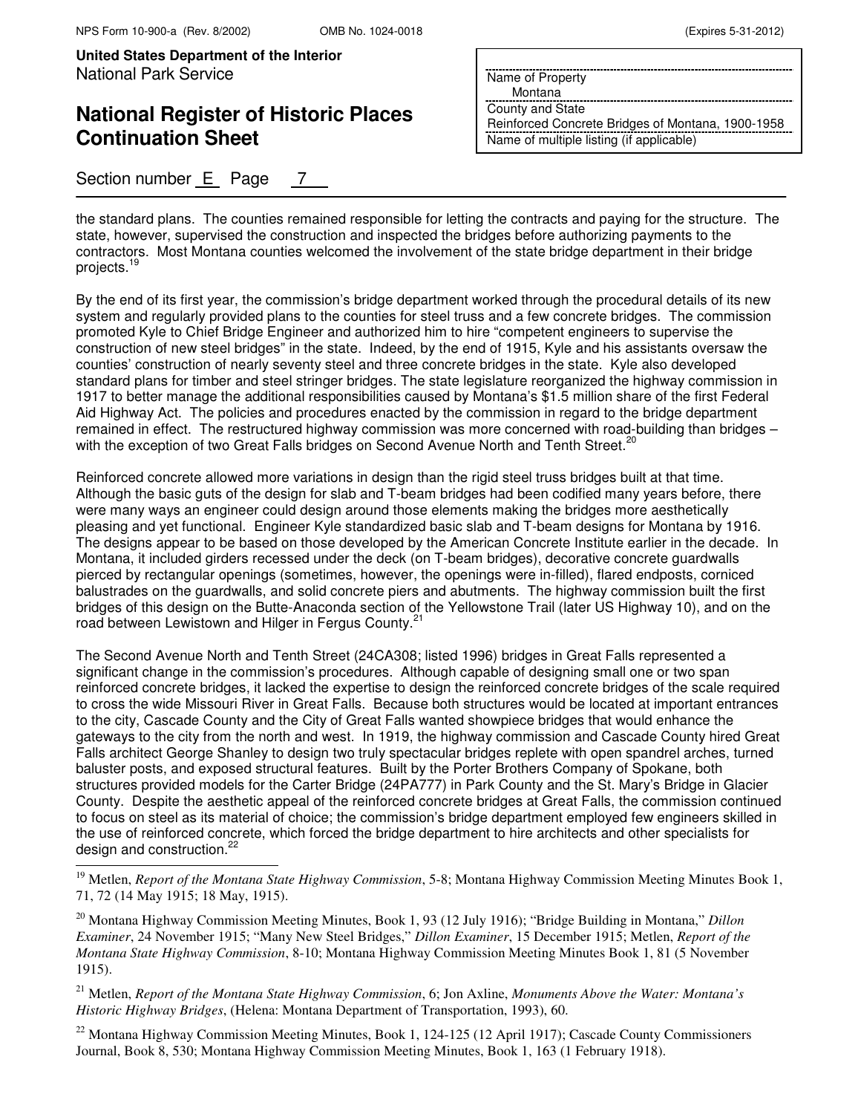# **National Register of Historic Places Continuation Sheet**

Section number E Page 7

Name of Property

Montana

County and State Reinforced Concrete Bridges of Montana, 1900-1958 Name of multiple listing (if applicable)

the standard plans. The counties remained responsible for letting the contracts and paying for the structure. The state, however, supervised the construction and inspected the bridges before authorizing payments to the contractors. Most Montana counties welcomed the involvement of the state bridge department in their bridge projects.<sup>19</sup>

By the end of its first year, the commission's bridge department worked through the procedural details of its new system and regularly provided plans to the counties for steel truss and a few concrete bridges. The commission promoted Kyle to Chief Bridge Engineer and authorized him to hire "competent engineers to supervise the construction of new steel bridges" in the state. Indeed, by the end of 1915, Kyle and his assistants oversaw the counties' construction of nearly seventy steel and three concrete bridges in the state. Kyle also developed standard plans for timber and steel stringer bridges. The state legislature reorganized the highway commission in 1917 to better manage the additional responsibilities caused by Montana's \$1.5 million share of the first Federal Aid Highway Act. The policies and procedures enacted by the commission in regard to the bridge department remained in effect. The restructured highway commission was more concerned with road-building than bridges – with the exception of two Great Falls bridges on Second Avenue North and Tenth Street.<sup>20</sup>

Reinforced concrete allowed more variations in design than the rigid steel truss bridges built at that time. Although the basic guts of the design for slab and T-beam bridges had been codified many years before, there were many ways an engineer could design around those elements making the bridges more aesthetically pleasing and yet functional. Engineer Kyle standardized basic slab and T-beam designs for Montana by 1916. The designs appear to be based on those developed by the American Concrete Institute earlier in the decade. In Montana, it included girders recessed under the deck (on T-beam bridges), decorative concrete guardwalls pierced by rectangular openings (sometimes, however, the openings were in-filled), flared endposts, corniced balustrades on the guardwalls, and solid concrete piers and abutments. The highway commission built the first bridges of this design on the Butte-Anaconda section of the Yellowstone Trail (later US Highway 10), and on the road between Lewistown and Hilger in Fergus County.<sup>21</sup>

The Second Avenue North and Tenth Street (24CA308; listed 1996) bridges in Great Falls represented a significant change in the commission's procedures. Although capable of designing small one or two span reinforced concrete bridges, it lacked the expertise to design the reinforced concrete bridges of the scale required to cross the wide Missouri River in Great Falls. Because both structures would be located at important entrances to the city, Cascade County and the City of Great Falls wanted showpiece bridges that would enhance the gateways to the city from the north and west. In 1919, the highway commission and Cascade County hired Great Falls architect George Shanley to design two truly spectacular bridges replete with open spandrel arches, turned baluster posts, and exposed structural features. Built by the Porter Brothers Company of Spokane, both structures provided models for the Carter Bridge (24PA777) in Park County and the St. Mary's Bridge in Glacier County. Despite the aesthetic appeal of the reinforced concrete bridges at Great Falls, the commission continued to focus on steel as its material of choice; the commission's bridge department employed few engineers skilled in the use of reinforced concrete, which forced the bridge department to hire architects and other specialists for design and construction.<sup>22</sup> j.

<sup>22</sup> Montana Highway Commission Meeting Minutes, Book 1, 124-125 (12 April 1917); Cascade County Commissioners Journal, Book 8, 530; Montana Highway Commission Meeting Minutes, Book 1, 163 (1 February 1918).

<sup>&</sup>lt;sup>19</sup> Metlen, *Report of the Montana State Highway Commission*, 5-8; Montana Highway Commission Meeting Minutes Book 1, 71, 72 (14 May 1915; 18 May, 1915).

<sup>20</sup> Montana Highway Commission Meeting Minutes, Book 1, 93 (12 July 1916); "Bridge Building in Montana," *Dillon Examiner*, 24 November 1915; "Many New Steel Bridges," *Dillon Examiner*, 15 December 1915; Metlen, *Report of the Montana State Highway Commission*, 8-10; Montana Highway Commission Meeting Minutes Book 1, 81 (5 November 1915).

<sup>21</sup> Metlen, *Report of the Montana State Highway Commission*, 6; Jon Axline, *Monuments Above the Water: Montana's Historic Highway Bridges*, (Helena: Montana Department of Transportation, 1993), 60.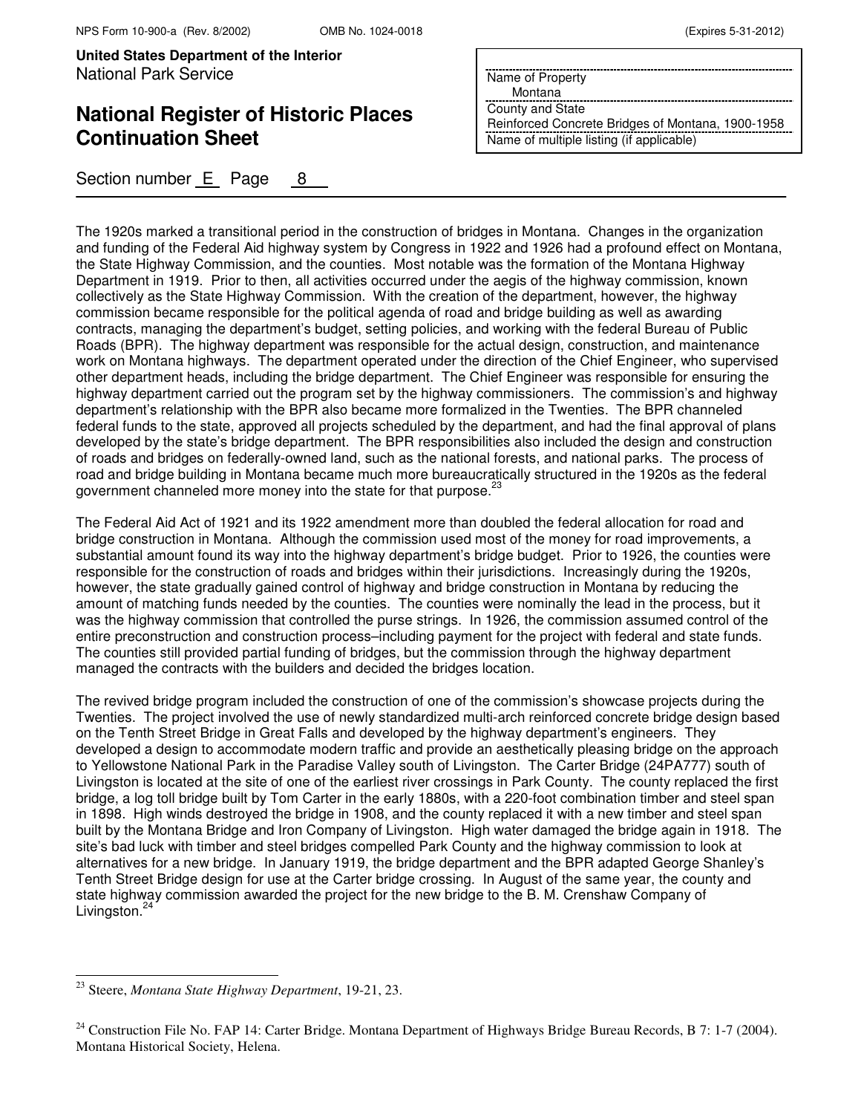# **National Register of Historic Places Continuation Sheet**

Section number E Page 8

Name of Property Montana County and State Reinforced Concrete Bridges of Montana, 1900-1958 Name of multiple listing (if applicable)

The 1920s marked a transitional period in the construction of bridges in Montana. Changes in the organization and funding of the Federal Aid highway system by Congress in 1922 and 1926 had a profound effect on Montana, the State Highway Commission, and the counties. Most notable was the formation of the Montana Highway Department in 1919. Prior to then, all activities occurred under the aegis of the highway commission, known collectively as the State Highway Commission. With the creation of the department, however, the highway commission became responsible for the political agenda of road and bridge building as well as awarding contracts, managing the department's budget, setting policies, and working with the federal Bureau of Public Roads (BPR). The highway department was responsible for the actual design, construction, and maintenance work on Montana highways. The department operated under the direction of the Chief Engineer, who supervised other department heads, including the bridge department. The Chief Engineer was responsible for ensuring the highway department carried out the program set by the highway commissioners. The commission's and highway department's relationship with the BPR also became more formalized in the Twenties. The BPR channeled federal funds to the state, approved all projects scheduled by the department, and had the final approval of plans developed by the state's bridge department. The BPR responsibilities also included the design and construction of roads and bridges on federally-owned land, such as the national forests, and national parks. The process of road and bridge building in Montana became much more bureaucratically structured in the 1920s as the federal government channeled more money into the state for that purpose.<sup>23</sup>

The Federal Aid Act of 1921 and its 1922 amendment more than doubled the federal allocation for road and bridge construction in Montana. Although the commission used most of the money for road improvements, a substantial amount found its way into the highway department's bridge budget. Prior to 1926, the counties were responsible for the construction of roads and bridges within their jurisdictions. Increasingly during the 1920s, however, the state gradually gained control of highway and bridge construction in Montana by reducing the amount of matching funds needed by the counties. The counties were nominally the lead in the process, but it was the highway commission that controlled the purse strings. In 1926, the commission assumed control of the entire preconstruction and construction process–including payment for the project with federal and state funds. The counties still provided partial funding of bridges, but the commission through the highway department managed the contracts with the builders and decided the bridges location.

The revived bridge program included the construction of one of the commission's showcase projects during the Twenties. The project involved the use of newly standardized multi-arch reinforced concrete bridge design based on the Tenth Street Bridge in Great Falls and developed by the highway department's engineers. They developed a design to accommodate modern traffic and provide an aesthetically pleasing bridge on the approach to Yellowstone National Park in the Paradise Valley south of Livingston. The Carter Bridge (24PA777) south of Livingston is located at the site of one of the earliest river crossings in Park County. The county replaced the first bridge, a log toll bridge built by Tom Carter in the early 1880s, with a 220-foot combination timber and steel span in 1898. High winds destroyed the bridge in 1908, and the county replaced it with a new timber and steel span built by the Montana Bridge and Iron Company of Livingston. High water damaged the bridge again in 1918. The site's bad luck with timber and steel bridges compelled Park County and the highway commission to look at alternatives for a new bridge. In January 1919, the bridge department and the BPR adapted George Shanley's Tenth Street Bridge design for use at the Carter bridge crossing. In August of the same year, the county and state highway commission awarded the project for the new bridge to the B. M. Crenshaw Company of Livingston.<sup>24</sup>

 $\overline{\phantom{0}}$ 

<sup>23</sup> Steere, *Montana State Highway Department*, 19-21, 23.

 $24$  Construction File No. FAP 14: Carter Bridge. Montana Department of Highways Bridge Bureau Records, B 7: 1-7 (2004). Montana Historical Society, Helena.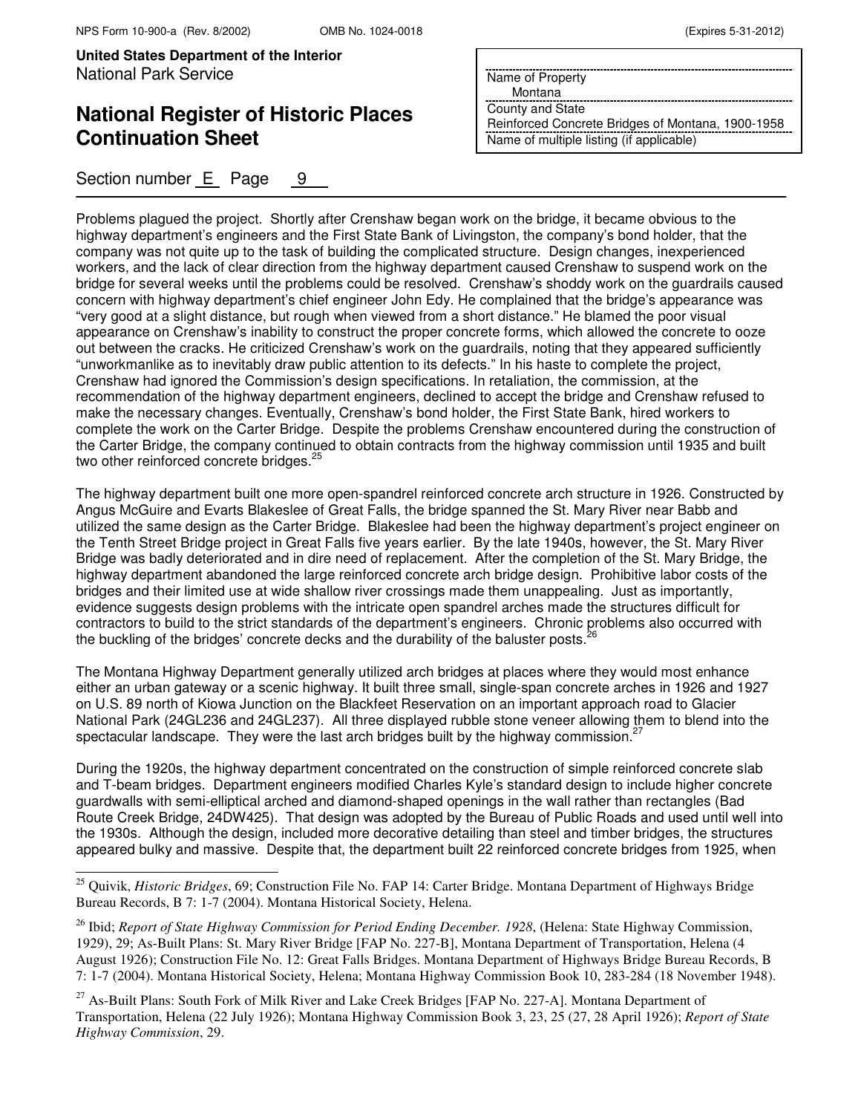$\overline{a}$ 

**United States Department of the Interior** National Park Service

# **National Register of Historic Places Continuation Sheet**

Section number E Page 9

Name of Property

Montana

County and State Reinforced Concrete Bridges of Montana, 1900-1958 Name of multiple listing (if applicable)

Problems plagued the project. Shortly after Crenshaw began work on the bridge, it became obvious to the highway department's engineers and the First State Bank of Livingston, the company's bond holder, that the company was not quite up to the task of building the complicated structure. Design changes, inexperienced workers, and the lack of clear direction from the highway department caused Crenshaw to suspend work on the bridge for several weeks until the problems could be resolved. Crenshaw's shoddy work on the guardrails caused concern with highway department's chief engineer John Edy. He complained that the bridge's appearance was "very good at a slight distance, but rough when viewed from a short distance." He blamed the poor visual appearance on Crenshaw's inability to construct the proper concrete forms, which allowed the concrete to ooze out between the cracks. He criticized Crenshaw's work on the guardrails, noting that they appeared sufficiently "unworkmanlike as to inevitably draw public attention to its defects." In his haste to complete the project, Crenshaw had ignored the Commission's design specifications. In retaliation, the commission, at the recommendation of the highway department engineers, declined to accept the bridge and Crenshaw refused to make the necessary changes. Eventually, Crenshaw's bond holder, the First State Bank, hired workers to complete the work on the Carter Bridge. Despite the problems Crenshaw encountered during the construction of the Carter Bridge, the company continued to obtain contracts from the highway commission until 1935 and built two other reinforced concrete bridges.<sup>2</sup>

The highway department built one more open-spandrel reinforced concrete arch structure in 1926. Constructed by Angus McGuire and Evarts Blakeslee of Great Falls, the bridge spanned the St. Mary River near Babb and utilized the same design as the Carter Bridge. Blakeslee had been the highway department's project engineer on the Tenth Street Bridge project in Great Falls five years earlier. By the late 1940s, however, the St. Mary River Bridge was badly deteriorated and in dire need of replacement. After the completion of the St. Mary Bridge, the highway department abandoned the large reinforced concrete arch bridge design. Prohibitive labor costs of the bridges and their limited use at wide shallow river crossings made them unappealing. Just as importantly, evidence suggests design problems with the intricate open spandrel arches made the structures difficult for contractors to build to the strict standards of the department's engineers. Chronic problems also occurred with the buckling of the bridges' concrete decks and the durability of the baluster posts.<sup>2</sup>

The Montana Highway Department generally utilized arch bridges at places where they would most enhance either an urban gateway or a scenic highway. It built three small, single-span concrete arches in 1926 and 1927 on U.S. 89 north of Kiowa Junction on the Blackfeet Reservation on an important approach road to Glacier National Park (24GL236 and 24GL237). All three displayed rubble stone veneer allowing them to blend into the spectacular landscape. They were the last arch bridges built by the highway commission.

During the 1920s, the highway department concentrated on the construction of simple reinforced concrete slab and T-beam bridges. Department engineers modified Charles Kyle's standard design to include higher concrete guardwalls with semi-elliptical arched and diamond-shaped openings in the wall rather than rectangles (Bad Route Creek Bridge, 24DW425). That design was adopted by the Bureau of Public Roads and used until well into the 1930s. Although the design, included more decorative detailing than steel and timber bridges, the structures appeared bulky and massive. Despite that, the department built 22 reinforced concrete bridges from 1925, when

<sup>25</sup> Quivik, *Historic Bridges*, 69; Construction File No. FAP 14: Carter Bridge. Montana Department of Highways Bridge Bureau Records, B 7: 1-7 (2004). Montana Historical Society, Helena.

<sup>26</sup> Ibid; *Report of State Highway Commission for Period Ending December. 1928*, (Helena: State Highway Commission, 1929), 29; As-Built Plans: St. Mary River Bridge [FAP No. 227-B], Montana Department of Transportation, Helena (4 August 1926); Construction File No. 12: Great Falls Bridges. Montana Department of Highways Bridge Bureau Records, B 7: 1-7 (2004). Montana Historical Society, Helena; Montana Highway Commission Book 10, 283-284 (18 November 1948).

<sup>&</sup>lt;sup>27</sup> As-Built Plans: South Fork of Milk River and Lake Creek Bridges [FAP No. 227-A]. Montana Department of Transportation, Helena (22 July 1926); Montana Highway Commission Book 3, 23, 25 (27, 28 April 1926); *Report of State Highway Commission*, 29.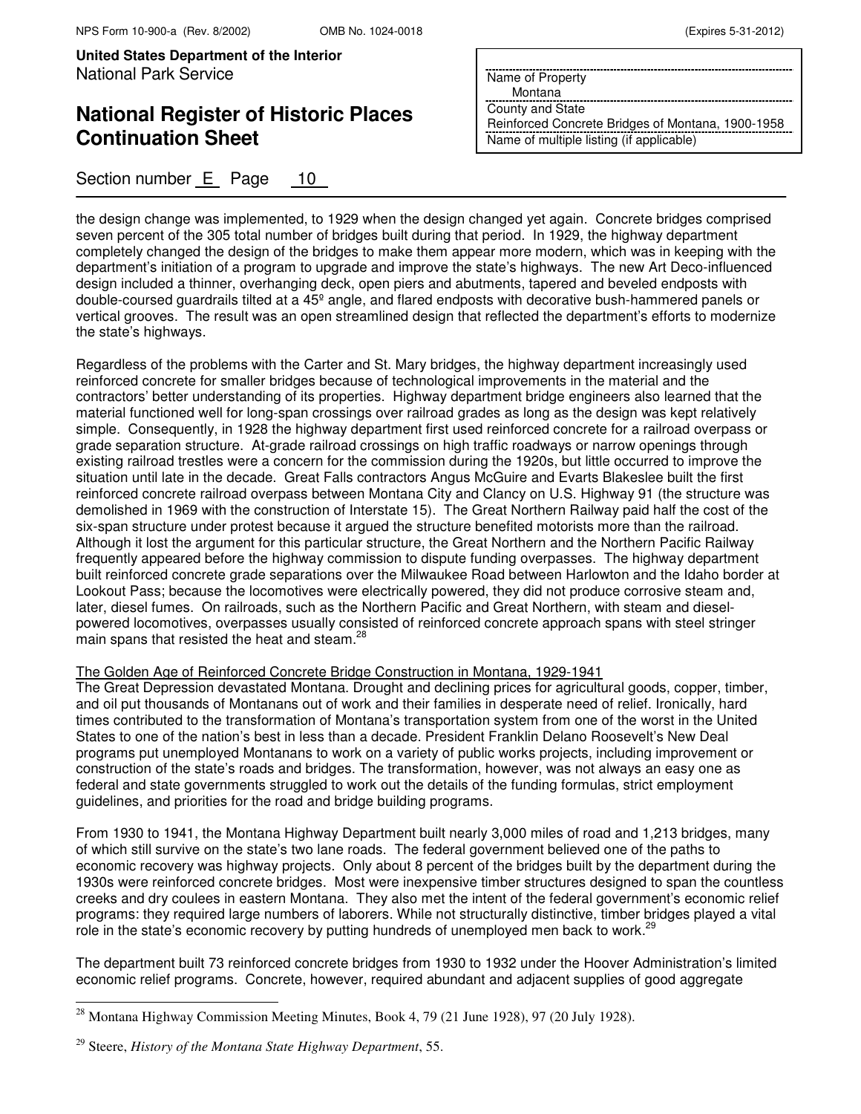# **National Register of Historic Places Continuation Sheet**

Section number E Page 10

Name of Property Montana

County and State

Reinforced Concrete Bridges of Montana, 1900-1958 Name of multiple listing (if applicable)

the design change was implemented, to 1929 when the design changed yet again. Concrete bridges comprised seven percent of the 305 total number of bridges built during that period. In 1929, the highway department completely changed the design of the bridges to make them appear more modern, which was in keeping with the department's initiation of a program to upgrade and improve the state's highways. The new Art Deco-influenced design included a thinner, overhanging deck, open piers and abutments, tapered and beveled endposts with double-coursed guardrails tilted at a 45º angle, and flared endposts with decorative bush-hammered panels or vertical grooves. The result was an open streamlined design that reflected the department's efforts to modernize the state's highways.

Regardless of the problems with the Carter and St. Mary bridges, the highway department increasingly used reinforced concrete for smaller bridges because of technological improvements in the material and the contractors' better understanding of its properties. Highway department bridge engineers also learned that the material functioned well for long-span crossings over railroad grades as long as the design was kept relatively simple. Consequently, in 1928 the highway department first used reinforced concrete for a railroad overpass or grade separation structure. At-grade railroad crossings on high traffic roadways or narrow openings through existing railroad trestles were a concern for the commission during the 1920s, but little occurred to improve the situation until late in the decade. Great Falls contractors Angus McGuire and Evarts Blakeslee built the first reinforced concrete railroad overpass between Montana City and Clancy on U.S. Highway 91 (the structure was demolished in 1969 with the construction of Interstate 15). The Great Northern Railway paid half the cost of the six-span structure under protest because it argued the structure benefited motorists more than the railroad. Although it lost the argument for this particular structure, the Great Northern and the Northern Pacific Railway frequently appeared before the highway commission to dispute funding overpasses. The highway department built reinforced concrete grade separations over the Milwaukee Road between Harlowton and the Idaho border at Lookout Pass; because the locomotives were electrically powered, they did not produce corrosive steam and, later, diesel fumes. On railroads, such as the Northern Pacific and Great Northern, with steam and dieselpowered locomotives, overpasses usually consisted of reinforced concrete approach spans with steel stringer main spans that resisted the heat and steam.<sup>2</sup>

#### The Golden Age of Reinforced Concrete Bridge Construction in Montana, 1929-1941

The Great Depression devastated Montana. Drought and declining prices for agricultural goods, copper, timber, and oil put thousands of Montanans out of work and their families in desperate need of relief. Ironically, hard times contributed to the transformation of Montana's transportation system from one of the worst in the United States to one of the nation's best in less than a decade. President Franklin Delano Roosevelt's New Deal programs put unemployed Montanans to work on a variety of public works projects, including improvement or construction of the state's roads and bridges. The transformation, however, was not always an easy one as federal and state governments struggled to work out the details of the funding formulas, strict employment guidelines, and priorities for the road and bridge building programs.

From 1930 to 1941, the Montana Highway Department built nearly 3,000 miles of road and 1,213 bridges, many of which still survive on the state's two lane roads. The federal government believed one of the paths to economic recovery was highway projects. Only about 8 percent of the bridges built by the department during the 1930s were reinforced concrete bridges. Most were inexpensive timber structures designed to span the countless creeks and dry coulees in eastern Montana. They also met the intent of the federal government's economic relief programs: they required large numbers of laborers. While not structurally distinctive, timber bridges played a vital role in the state's economic recovery by putting hundreds of unemployed men back to work.<sup>2</sup>

The department built 73 reinforced concrete bridges from 1930 to 1932 under the Hoover Administration's limited economic relief programs. Concrete, however, required abundant and adjacent supplies of good aggregate

 $\overline{ }$ 

<sup>&</sup>lt;sup>28</sup> Montana Highway Commission Meeting Minutes, Book 4, 79 (21 June 1928), 97 (20 July 1928).

<sup>29</sup> Steere, *History of the Montana State Highway Department*, 55.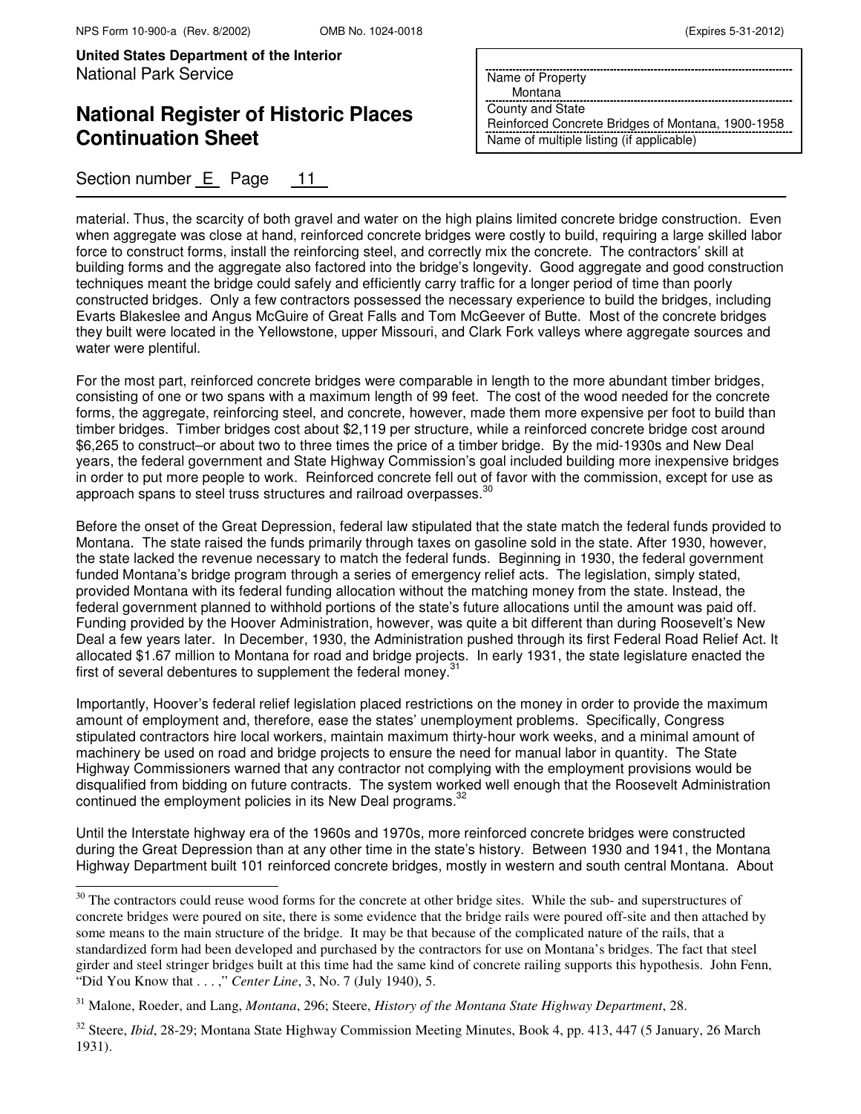j.

**United States Department of the Interior** National Park Service

# **National Register of Historic Places Continuation Sheet**

Section number E Page 11

Name of Property

Montana

County and State Reinforced Concrete Bridges of Montana, 1900-1958 Name of multiple listing (if applicable)

material. Thus, the scarcity of both gravel and water on the high plains limited concrete bridge construction. Even when aggregate was close at hand, reinforced concrete bridges were costly to build, requiring a large skilled labor force to construct forms, install the reinforcing steel, and correctly mix the concrete. The contractors' skill at building forms and the aggregate also factored into the bridge's longevity. Good aggregate and good construction techniques meant the bridge could safely and efficiently carry traffic for a longer period of time than poorly constructed bridges. Only a few contractors possessed the necessary experience to build the bridges, including Evarts Blakeslee and Angus McGuire of Great Falls and Tom McGeever of Butte. Most of the concrete bridges they built were located in the Yellowstone, upper Missouri, and Clark Fork valleys where aggregate sources and water were plentiful.

For the most part, reinforced concrete bridges were comparable in length to the more abundant timber bridges, consisting of one or two spans with a maximum length of 99 feet. The cost of the wood needed for the concrete forms, the aggregate, reinforcing steel, and concrete, however, made them more expensive per foot to build than timber bridges. Timber bridges cost about \$2,119 per structure, while a reinforced concrete bridge cost around \$6,265 to construct–or about two to three times the price of a timber bridge. By the mid-1930s and New Deal years, the federal government and State Highway Commission's goal included building more inexpensive bridges in order to put more people to work. Reinforced concrete fell out of favor with the commission, except for use as approach spans to steel truss structures and railroad overpasses.<sup>30</sup>

Before the onset of the Great Depression, federal law stipulated that the state match the federal funds provided to Montana. The state raised the funds primarily through taxes on gasoline sold in the state. After 1930, however, the state lacked the revenue necessary to match the federal funds. Beginning in 1930, the federal government funded Montana's bridge program through a series of emergency relief acts. The legislation, simply stated, provided Montana with its federal funding allocation without the matching money from the state. Instead, the federal government planned to withhold portions of the state's future allocations until the amount was paid off. Funding provided by the Hoover Administration, however, was quite a bit different than during Roosevelt's New Deal a few years later. In December, 1930, the Administration pushed through its first Federal Road Relief Act. It allocated \$1.67 million to Montana for road and bridge projects. In early 1931, the state legislature enacted the first of several debentures to supplement the federal money. $31$ 

Importantly, Hoover's federal relief legislation placed restrictions on the money in order to provide the maximum amount of employment and, therefore, ease the states' unemployment problems. Specifically, Congress stipulated contractors hire local workers, maintain maximum thirty-hour work weeks, and a minimal amount of machinery be used on road and bridge projects to ensure the need for manual labor in quantity. The State Highway Commissioners warned that any contractor not complying with the employment provisions would be disqualified from bidding on future contracts. The system worked well enough that the Roosevelt Administration continued the employment policies in its New Deal programs.<sup>32</sup>

Until the Interstate highway era of the 1960s and 1970s, more reinforced concrete bridges were constructed during the Great Depression than at any other time in the state's history. Between 1930 and 1941, the Montana Highway Department built 101 reinforced concrete bridges, mostly in western and south central Montana. About

 $30$  The contractors could reuse wood forms for the concrete at other bridge sites. While the sub- and superstructures of concrete bridges were poured on site, there is some evidence that the bridge rails were poured off-site and then attached by some means to the main structure of the bridge. It may be that because of the complicated nature of the rails, that a standardized form had been developed and purchased by the contractors for use on Montana's bridges. The fact that steel girder and steel stringer bridges built at this time had the same kind of concrete railing supports this hypothesis. John Fenn, "Did You Know that . . . ," *Center Line*, 3, No. 7 (July 1940), 5.

<sup>31</sup> Malone, Roeder, and Lang, *Montana*, 296; Steere, *History of the Montana State Highway Department*, 28.

<sup>&</sup>lt;sup>32</sup> Steere, *Ibid*, 28-29; Montana State Highway Commission Meeting Minutes, Book 4, pp. 413, 447 (5 January, 26 March 1931).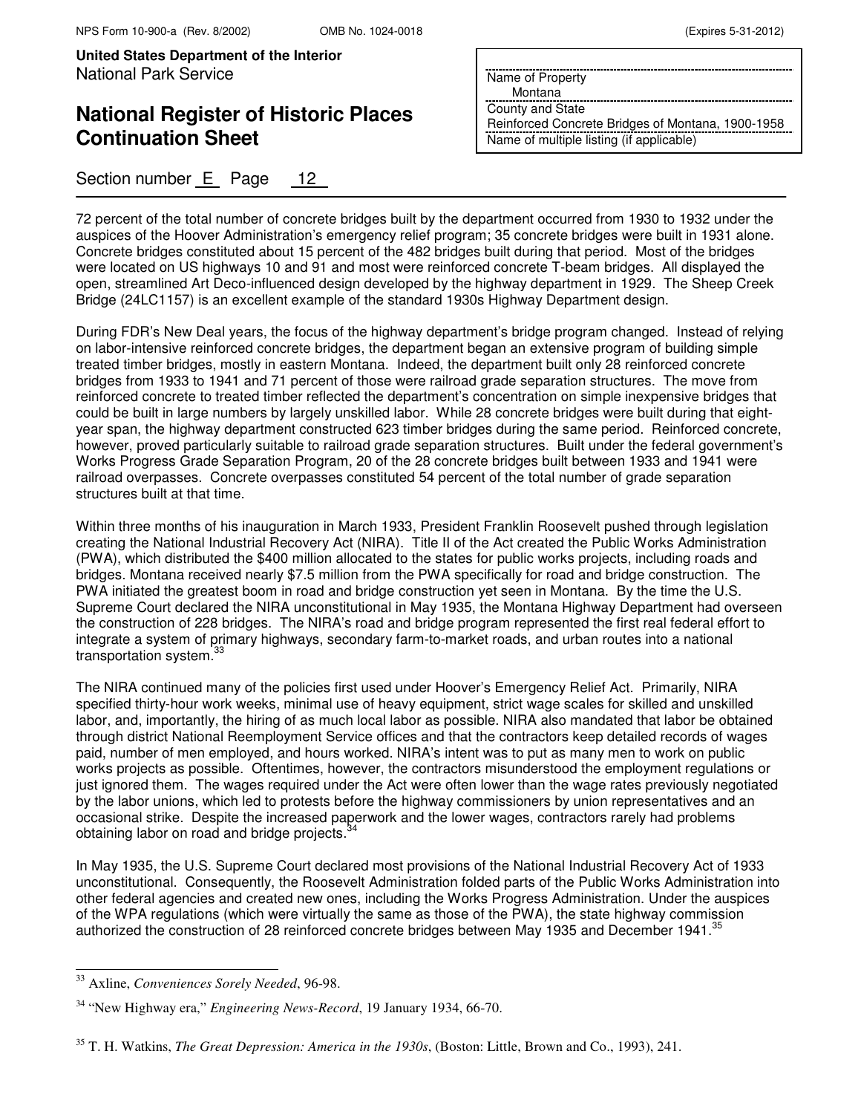# **National Register of Historic Places Continuation Sheet**

### Section number E Page 12

Name of Property

Montana

County and State Reinforced Concrete Bridges of Montana, 1900-1958 Name of multiple listing (if applicable)

72 percent of the total number of concrete bridges built by the department occurred from 1930 to 1932 under the auspices of the Hoover Administration's emergency relief program; 35 concrete bridges were built in 1931 alone. Concrete bridges constituted about 15 percent of the 482 bridges built during that period. Most of the bridges were located on US highways 10 and 91 and most were reinforced concrete T-beam bridges. All displayed the open, streamlined Art Deco-influenced design developed by the highway department in 1929. The Sheep Creek Bridge (24LC1157) is an excellent example of the standard 1930s Highway Department design.

During FDR's New Deal years, the focus of the highway department's bridge program changed. Instead of relying on labor-intensive reinforced concrete bridges, the department began an extensive program of building simple treated timber bridges, mostly in eastern Montana. Indeed, the department built only 28 reinforced concrete bridges from 1933 to 1941 and 71 percent of those were railroad grade separation structures. The move from reinforced concrete to treated timber reflected the department's concentration on simple inexpensive bridges that could be built in large numbers by largely unskilled labor. While 28 concrete bridges were built during that eightyear span, the highway department constructed 623 timber bridges during the same period. Reinforced concrete, however, proved particularly suitable to railroad grade separation structures. Built under the federal government's Works Progress Grade Separation Program, 20 of the 28 concrete bridges built between 1933 and 1941 were railroad overpasses. Concrete overpasses constituted 54 percent of the total number of grade separation structures built at that time.

Within three months of his inauguration in March 1933, President Franklin Roosevelt pushed through legislation creating the National Industrial Recovery Act (NIRA). Title II of the Act created the Public Works Administration (PWA), which distributed the \$400 million allocated to the states for public works projects, including roads and bridges. Montana received nearly \$7.5 million from the PWA specifically for road and bridge construction. The PWA initiated the greatest boom in road and bridge construction yet seen in Montana. By the time the U.S. Supreme Court declared the NIRA unconstitutional in May 1935, the Montana Highway Department had overseen the construction of 228 bridges. The NIRA's road and bridge program represented the first real federal effort to integrate a system of primary highways, secondary farm-to-market roads, and urban routes into a national transportation system.<sup>3</sup>

The NIRA continued many of the policies first used under Hoover's Emergency Relief Act. Primarily, NIRA specified thirty-hour work weeks, minimal use of heavy equipment, strict wage scales for skilled and unskilled labor, and, importantly, the hiring of as much local labor as possible. NIRA also mandated that labor be obtained through district National Reemployment Service offices and that the contractors keep detailed records of wages paid, number of men employed, and hours worked. NIRA's intent was to put as many men to work on public works projects as possible. Oftentimes, however, the contractors misunderstood the employment regulations or just ignored them. The wages required under the Act were often lower than the wage rates previously negotiated by the labor unions, which led to protests before the highway commissioners by union representatives and an occasional strike. Despite the increased paperwork and the lower wages, contractors rarely had problems obtaining labor on road and bridge projects.<sup>3</sup>

In May 1935, the U.S. Supreme Court declared most provisions of the National Industrial Recovery Act of 1933 unconstitutional. Consequently, the Roosevelt Administration folded parts of the Public Works Administration into other federal agencies and created new ones, including the Works Progress Administration. Under the auspices of the WPA regulations (which were virtually the same as those of the PWA), the state highway commission authorized the construction of 28 reinforced concrete bridges between May 1935 and December 1941.

 $\overline{a}$ 

<sup>33</sup> Axline, *Conveniences Sorely Needed*, 96-98.

<sup>34</sup> "New Highway era," *Engineering News-Record*, 19 January 1934, 66-70.

<sup>35</sup> T. H. Watkins, *The Great Depression: America in the 1930s*, (Boston: Little, Brown and Co., 1993), 241.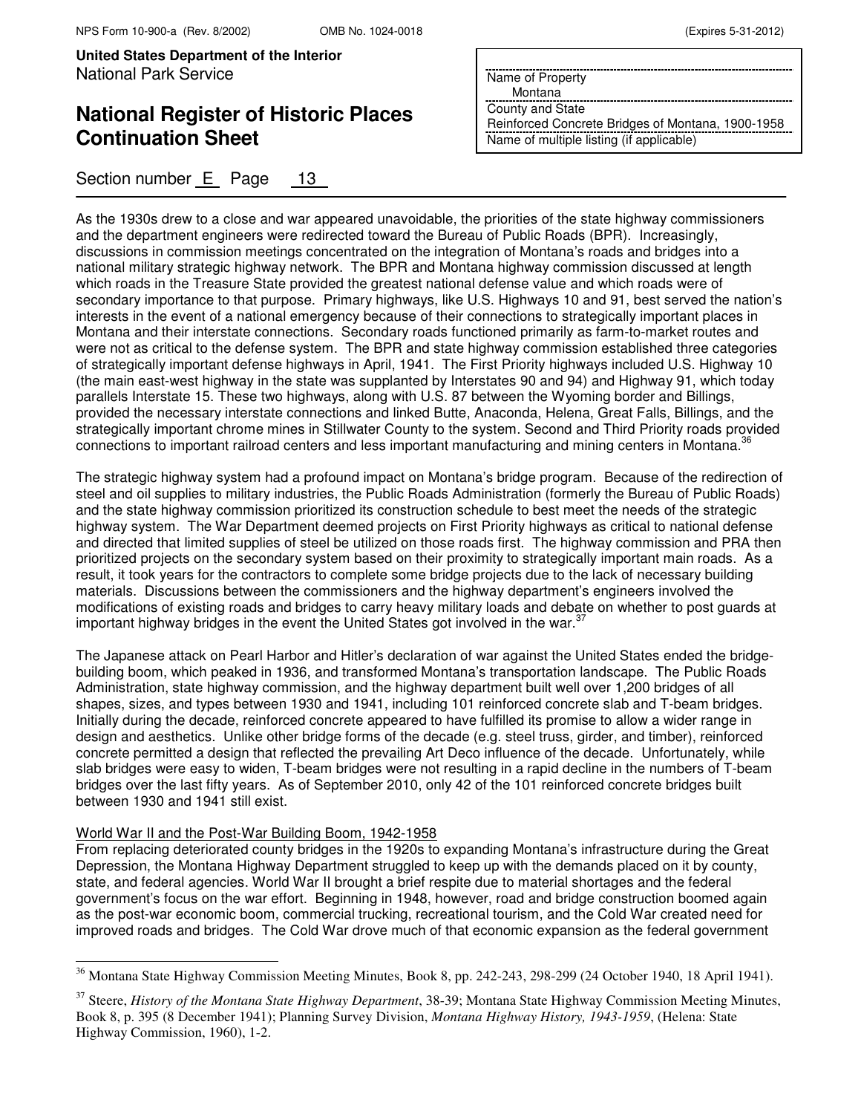# **National Register of Historic Places Continuation Sheet**

Section number E Page 13

|  | (Expires 5-31-2012) |
|--|---------------------|
|--|---------------------|

Name of Property

Montana

County and State Reinforced Concrete Bridges of Montana, 1900-1958 Name of multiple listing (if applicable)

As the 1930s drew to a close and war appeared unavoidable, the priorities of the state highway commissioners and the department engineers were redirected toward the Bureau of Public Roads (BPR). Increasingly, discussions in commission meetings concentrated on the integration of Montana's roads and bridges into a national military strategic highway network. The BPR and Montana highway commission discussed at length which roads in the Treasure State provided the greatest national defense value and which roads were of secondary importance to that purpose. Primary highways, like U.S. Highways 10 and 91, best served the nation's interests in the event of a national emergency because of their connections to strategically important places in Montana and their interstate connections. Secondary roads functioned primarily as farm-to-market routes and were not as critical to the defense system. The BPR and state highway commission established three categories of strategically important defense highways in April, 1941. The First Priority highways included U.S. Highway 10 (the main east-west highway in the state was supplanted by Interstates 90 and 94) and Highway 91, which today parallels Interstate 15. These two highways, along with U.S. 87 between the Wyoming border and Billings, provided the necessary interstate connections and linked Butte, Anaconda, Helena, Great Falls, Billings, and the strategically important chrome mines in Stillwater County to the system. Second and Third Priority roads provided connections to important railroad centers and less important manufacturing and mining centers in Montana.<sup>3</sup>

The strategic highway system had a profound impact on Montana's bridge program. Because of the redirection of steel and oil supplies to military industries, the Public Roads Administration (formerly the Bureau of Public Roads) and the state highway commission prioritized its construction schedule to best meet the needs of the strategic highway system. The War Department deemed projects on First Priority highways as critical to national defense and directed that limited supplies of steel be utilized on those roads first. The highway commission and PRA then prioritized projects on the secondary system based on their proximity to strategically important main roads. As a result, it took years for the contractors to complete some bridge projects due to the lack of necessary building materials. Discussions between the commissioners and the highway department's engineers involved the modifications of existing roads and bridges to carry heavy military loads and debate on whether to post guards at important highway bridges in the event the United States got involved in the war.<sup>37</sup>

The Japanese attack on Pearl Harbor and Hitler's declaration of war against the United States ended the bridgebuilding boom, which peaked in 1936, and transformed Montana's transportation landscape. The Public Roads Administration, state highway commission, and the highway department built well over 1,200 bridges of all shapes, sizes, and types between 1930 and 1941, including 101 reinforced concrete slab and T-beam bridges. Initially during the decade, reinforced concrete appeared to have fulfilled its promise to allow a wider range in design and aesthetics. Unlike other bridge forms of the decade (e.g. steel truss, girder, and timber), reinforced concrete permitted a design that reflected the prevailing Art Deco influence of the decade. Unfortunately, while slab bridges were easy to widen, T-beam bridges were not resulting in a rapid decline in the numbers of T-beam bridges over the last fifty years. As of September 2010, only 42 of the 101 reinforced concrete bridges built between 1930 and 1941 still exist.

#### World War II and the Post-War Building Boom, 1942-1958

 $\overline{\phantom{0}}$ 

From replacing deteriorated county bridges in the 1920s to expanding Montana's infrastructure during the Great Depression, the Montana Highway Department struggled to keep up with the demands placed on it by county, state, and federal agencies. World War II brought a brief respite due to material shortages and the federal government's focus on the war effort. Beginning in 1948, however, road and bridge construction boomed again as the post-war economic boom, commercial trucking, recreational tourism, and the Cold War created need for improved roads and bridges. The Cold War drove much of that economic expansion as the federal government

<sup>&</sup>lt;sup>36</sup> Montana State Highway Commission Meeting Minutes, Book 8, pp. 242-243, 298-299 (24 October 1940, 18 April 1941).

<sup>37</sup> Steere, *History of the Montana State Highway Department*, 38-39; Montana State Highway Commission Meeting Minutes, Book 8, p. 395 (8 December 1941); Planning Survey Division, *Montana Highway History, 1943-1959*, (Helena: State Highway Commission, 1960), 1-2.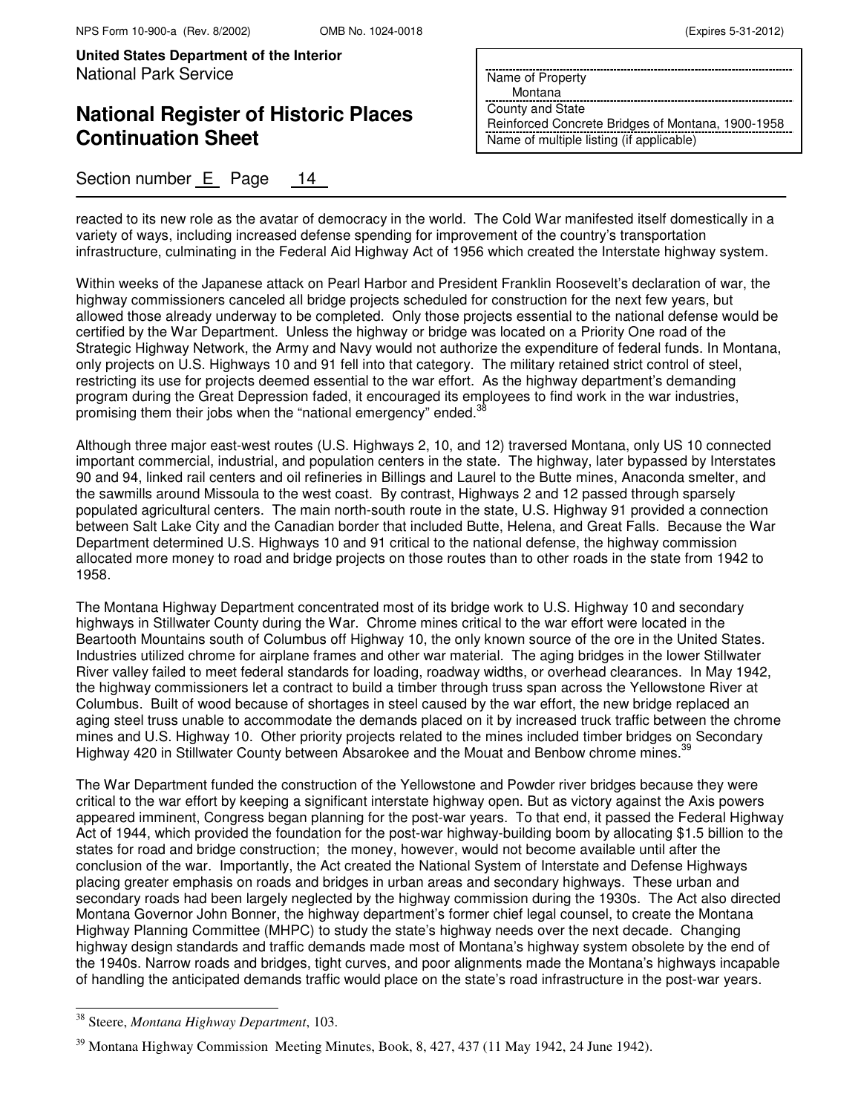## **National Register of Historic Places Continuation Sheet**

### Section number E Page 14

Name of Property

Montana

County and State Reinforced Concrete Bridges of Montana, 1900-1958 Name of multiple listing (if applicable)

reacted to its new role as the avatar of democracy in the world. The Cold War manifested itself domestically in a variety of ways, including increased defense spending for improvement of the country's transportation infrastructure, culminating in the Federal Aid Highway Act of 1956 which created the Interstate highway system.

Within weeks of the Japanese attack on Pearl Harbor and President Franklin Roosevelt's declaration of war, the highway commissioners canceled all bridge projects scheduled for construction for the next few years, but allowed those already underway to be completed. Only those projects essential to the national defense would be certified by the War Department. Unless the highway or bridge was located on a Priority One road of the Strategic Highway Network, the Army and Navy would not authorize the expenditure of federal funds. In Montana, only projects on U.S. Highways 10 and 91 fell into that category. The military retained strict control of steel, restricting its use for projects deemed essential to the war effort. As the highway department's demanding program during the Great Depression faded, it encouraged its employees to find work in the war industries, promising them their jobs when the "national emergency" ended.<sup>3</sup>

Although three major east-west routes (U.S. Highways 2, 10, and 12) traversed Montana, only US 10 connected important commercial, industrial, and population centers in the state. The highway, later bypassed by Interstates 90 and 94, linked rail centers and oil refineries in Billings and Laurel to the Butte mines, Anaconda smelter, and the sawmills around Missoula to the west coast. By contrast, Highways 2 and 12 passed through sparsely populated agricultural centers. The main north-south route in the state, U.S. Highway 91 provided a connection between Salt Lake City and the Canadian border that included Butte, Helena, and Great Falls. Because the War Department determined U.S. Highways 10 and 91 critical to the national defense, the highway commission allocated more money to road and bridge projects on those routes than to other roads in the state from 1942 to 1958.

The Montana Highway Department concentrated most of its bridge work to U.S. Highway 10 and secondary highways in Stillwater County during the War. Chrome mines critical to the war effort were located in the Beartooth Mountains south of Columbus off Highway 10, the only known source of the ore in the United States. Industries utilized chrome for airplane frames and other war material. The aging bridges in the lower Stillwater River valley failed to meet federal standards for loading, roadway widths, or overhead clearances. In May 1942, the highway commissioners let a contract to build a timber through truss span across the Yellowstone River at Columbus. Built of wood because of shortages in steel caused by the war effort, the new bridge replaced an aging steel truss unable to accommodate the demands placed on it by increased truck traffic between the chrome mines and U.S. Highway 10. Other priority projects related to the mines included timber bridges on Secondary Highway 420 in Stillwater County between Absarokee and the Mouat and Benbow chrome mines.<sup>31</sup>

The War Department funded the construction of the Yellowstone and Powder river bridges because they were critical to the war effort by keeping a significant interstate highway open. But as victory against the Axis powers appeared imminent, Congress began planning for the post-war years. To that end, it passed the Federal Highway Act of 1944, which provided the foundation for the post-war highway-building boom by allocating \$1.5 billion to the states for road and bridge construction; the money, however, would not become available until after the conclusion of the war. Importantly, the Act created the National System of Interstate and Defense Highways placing greater emphasis on roads and bridges in urban areas and secondary highways. These urban and secondary roads had been largely neglected by the highway commission during the 1930s. The Act also directed Montana Governor John Bonner, the highway department's former chief legal counsel, to create the Montana Highway Planning Committee (MHPC) to study the state's highway needs over the next decade. Changing highway design standards and traffic demands made most of Montana's highway system obsolete by the end of the 1940s. Narrow roads and bridges, tight curves, and poor alignments made the Montana's highways incapable of handling the anticipated demands traffic would place on the state's road infrastructure in the post-war years.

 $\overline{a}$ 

<sup>38</sup> Steere, *Montana Highway Department*, 103.

 $39$  Montana Highway Commission Meeting Minutes, Book, 8, 427, 437 (11 May 1942, 24 June 1942).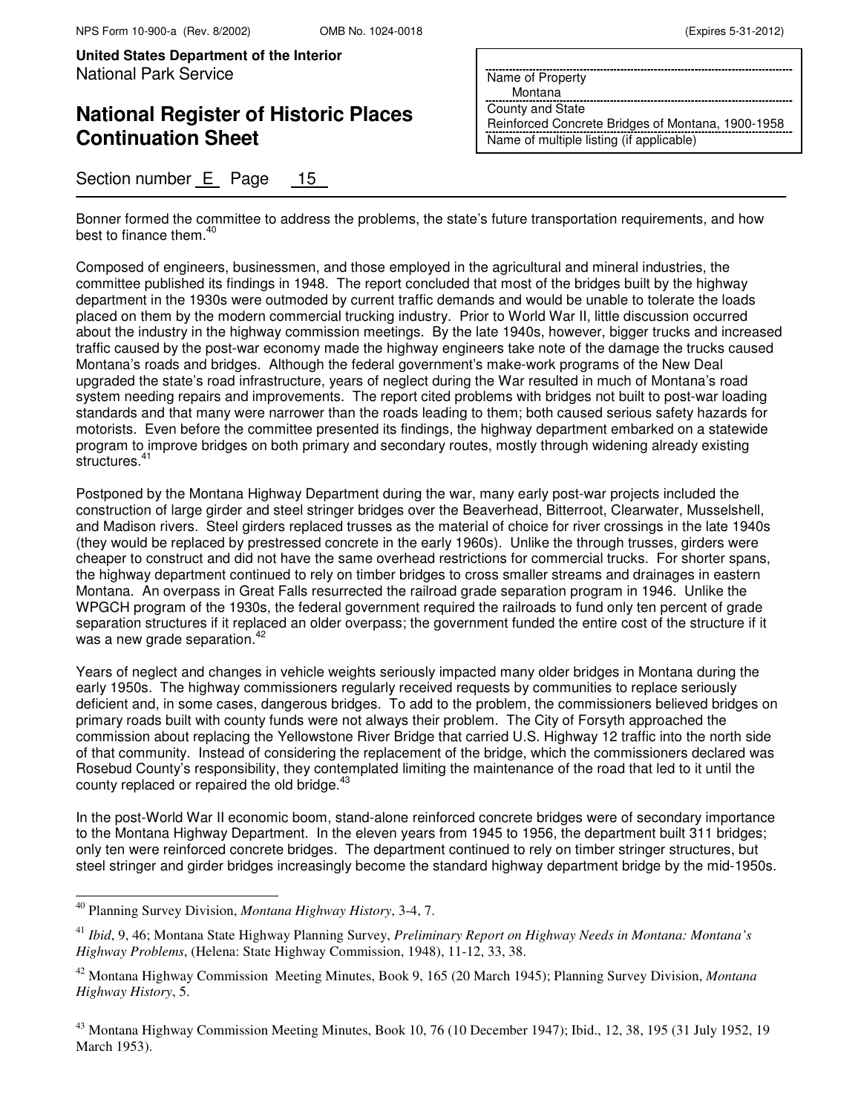# **National Register of Historic Places Continuation Sheet**

Section number E Page 15

Name of Property

Montana

County and State Reinforced Concrete Bridges of Montana, 1900-1958 Name of multiple listing (if applicable)

Bonner formed the committee to address the problems, the state's future transportation requirements, and how best to finance them.<sup>40</sup>

Composed of engineers, businessmen, and those employed in the agricultural and mineral industries, the committee published its findings in 1948. The report concluded that most of the bridges built by the highway department in the 1930s were outmoded by current traffic demands and would be unable to tolerate the loads placed on them by the modern commercial trucking industry. Prior to World War II, little discussion occurred about the industry in the highway commission meetings. By the late 1940s, however, bigger trucks and increased traffic caused by the post-war economy made the highway engineers take note of the damage the trucks caused Montana's roads and bridges. Although the federal government's make-work programs of the New Deal upgraded the state's road infrastructure, years of neglect during the War resulted in much of Montana's road system needing repairs and improvements. The report cited problems with bridges not built to post-war loading standards and that many were narrower than the roads leading to them; both caused serious safety hazards for motorists. Even before the committee presented its findings, the highway department embarked on a statewide program to improve bridges on both primary and secondary routes, mostly through widening already existing structures.<sup>4</sup>

Postponed by the Montana Highway Department during the war, many early post-war projects included the construction of large girder and steel stringer bridges over the Beaverhead, Bitterroot, Clearwater, Musselshell, and Madison rivers. Steel girders replaced trusses as the material of choice for river crossings in the late 1940s (they would be replaced by prestressed concrete in the early 1960s). Unlike the through trusses, girders were cheaper to construct and did not have the same overhead restrictions for commercial trucks. For shorter spans, the highway department continued to rely on timber bridges to cross smaller streams and drainages in eastern Montana. An overpass in Great Falls resurrected the railroad grade separation program in 1946. Unlike the WPGCH program of the 1930s, the federal government required the railroads to fund only ten percent of grade separation structures if it replaced an older overpass; the government funded the entire cost of the structure if it was a new grade separation.<sup>4</sup>

Years of neglect and changes in vehicle weights seriously impacted many older bridges in Montana during the early 1950s. The highway commissioners regularly received requests by communities to replace seriously deficient and, in some cases, dangerous bridges. To add to the problem, the commissioners believed bridges on primary roads built with county funds were not always their problem. The City of Forsyth approached the commission about replacing the Yellowstone River Bridge that carried U.S. Highway 12 traffic into the north side of that community. Instead of considering the replacement of the bridge, which the commissioners declared was Rosebud County's responsibility, they contemplated limiting the maintenance of the road that led to it until the county replaced or repaired the old bridge. $43$ 

In the post-World War II economic boom, stand-alone reinforced concrete bridges were of secondary importance to the Montana Highway Department. In the eleven years from 1945 to 1956, the department built 311 bridges; only ten were reinforced concrete bridges. The department continued to rely on timber stringer structures, but steel stringer and girder bridges increasingly become the standard highway department bridge by the mid-1950s.

 $\overline{ }$ 

<sup>40</sup> Planning Survey Division, *Montana Highway History*, 3-4, 7.

<sup>41</sup> *Ibid*, 9, 46; Montana State Highway Planning Survey, *Preliminary Report on Highway Needs in Montana: Montana's Highway Problems*, (Helena: State Highway Commission, 1948), 11-12, 33, 38.

<sup>42</sup> Montana Highway Commission Meeting Minutes, Book 9, 165 (20 March 1945); Planning Survey Division, *Montana Highway History*, 5.

<sup>&</sup>lt;sup>43</sup> Montana Highway Commission Meeting Minutes, Book 10, 76 (10 December 1947); Ibid., 12, 38, 195 (31 July 1952, 19 March 1953).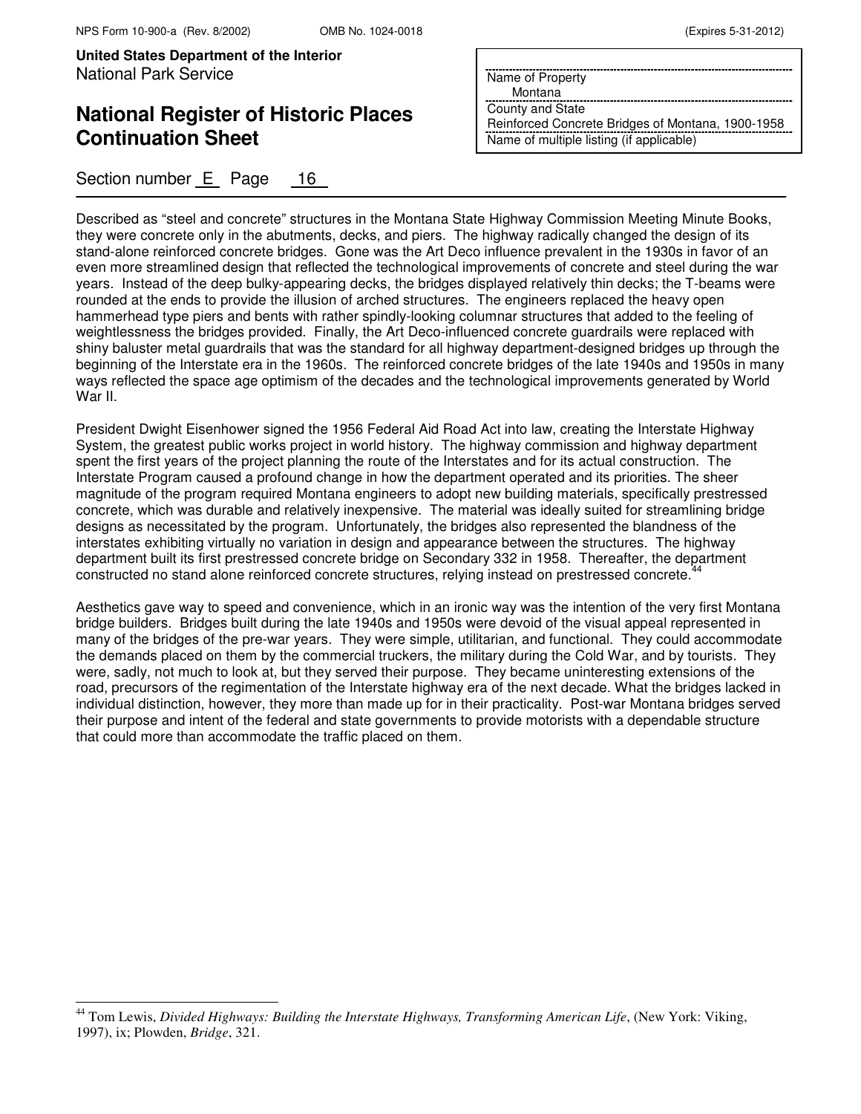j.

**United States Department of the Interior** National Park Service

# **National Register of Historic Places Continuation Sheet**

Section number E Page 16

| (Expires 5-31-2012) |  |  |
|---------------------|--|--|
|---------------------|--|--|

Name of Property

Montana

County and State Reinforced Concrete Bridges of Montana, 1900-1958 Name of multiple listing (if applicable)

Described as "steel and concrete" structures in the Montana State Highway Commission Meeting Minute Books, they were concrete only in the abutments, decks, and piers. The highway radically changed the design of its stand-alone reinforced concrete bridges. Gone was the Art Deco influence prevalent in the 1930s in favor of an even more streamlined design that reflected the technological improvements of concrete and steel during the war years. Instead of the deep bulky-appearing decks, the bridges displayed relatively thin decks; the T-beams were rounded at the ends to provide the illusion of arched structures. The engineers replaced the heavy open hammerhead type piers and bents with rather spindly-looking columnar structures that added to the feeling of weightlessness the bridges provided. Finally, the Art Deco-influenced concrete guardrails were replaced with shiny baluster metal guardrails that was the standard for all highway department-designed bridges up through the beginning of the Interstate era in the 1960s. The reinforced concrete bridges of the late 1940s and 1950s in many ways reflected the space age optimism of the decades and the technological improvements generated by World War II.

President Dwight Eisenhower signed the 1956 Federal Aid Road Act into law, creating the Interstate Highway System, the greatest public works project in world history. The highway commission and highway department spent the first years of the project planning the route of the Interstates and for its actual construction. The Interstate Program caused a profound change in how the department operated and its priorities. The sheer magnitude of the program required Montana engineers to adopt new building materials, specifically prestressed concrete, which was durable and relatively inexpensive. The material was ideally suited for streamlining bridge designs as necessitated by the program. Unfortunately, the bridges also represented the blandness of the interstates exhibiting virtually no variation in design and appearance between the structures. The highway department built its first prestressed concrete bridge on Secondary 332 in 1958. Thereafter, the department constructed no stand alone reinforced concrete structures, relying instead on prestressed concrete.<sup>44</sup>

Aesthetics gave way to speed and convenience, which in an ironic way was the intention of the very first Montana bridge builders. Bridges built during the late 1940s and 1950s were devoid of the visual appeal represented in many of the bridges of the pre-war years. They were simple, utilitarian, and functional. They could accommodate the demands placed on them by the commercial truckers, the military during the Cold War, and by tourists. They were, sadly, not much to look at, but they served their purpose. They became uninteresting extensions of the road, precursors of the regimentation of the Interstate highway era of the next decade. What the bridges lacked in individual distinction, however, they more than made up for in their practicality. Post-war Montana bridges served their purpose and intent of the federal and state governments to provide motorists with a dependable structure that could more than accommodate the traffic placed on them.

<sup>&</sup>lt;sup>44</sup> Tom Lewis, *Divided Highways: Building the Interstate Highways, Transforming American Life*, (New York: Viking, 1997), ix; Plowden, *Bridge*, 321.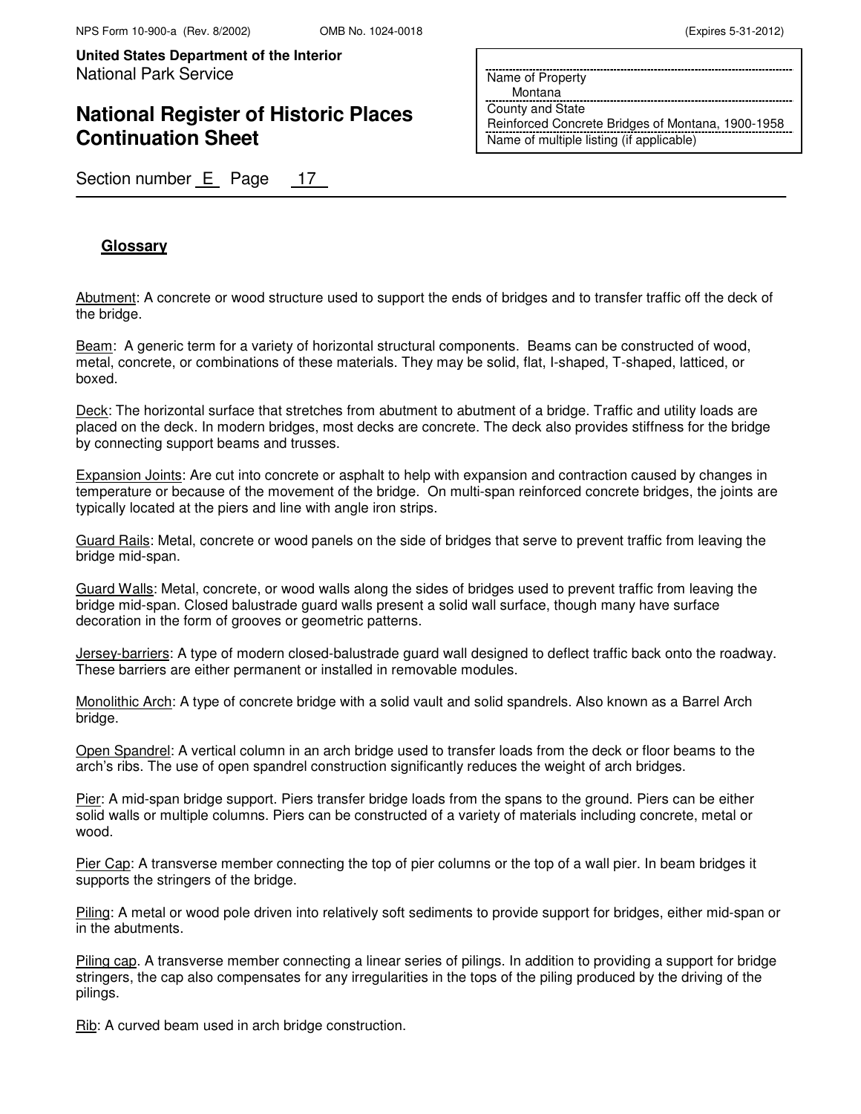# **National Register of Historic Places Continuation Sheet**

Name of Property

Montana

County and State Reinforced Concrete Bridges of Montana, 1900-1958 Name of multiple listing (if applicable)

Section number E Page 17

### **Glossary**

Abutment: A concrete or wood structure used to support the ends of bridges and to transfer traffic off the deck of the bridge.

Beam: A generic term for a variety of horizontal structural components. Beams can be constructed of wood, metal, concrete, or combinations of these materials. They may be solid, flat, I-shaped, T-shaped, latticed, or boxed.

Deck: The horizontal surface that stretches from abutment to abutment of a bridge. Traffic and utility loads are placed on the deck. In modern bridges, most decks are concrete. The deck also provides stiffness for the bridge by connecting support beams and trusses.

Expansion Joints: Are cut into concrete or asphalt to help with expansion and contraction caused by changes in temperature or because of the movement of the bridge. On multi-span reinforced concrete bridges, the joints are typically located at the piers and line with angle iron strips.

Guard Rails: Metal, concrete or wood panels on the side of bridges that serve to prevent traffic from leaving the bridge mid-span.

Guard Walls: Metal, concrete, or wood walls along the sides of bridges used to prevent traffic from leaving the bridge mid-span. Closed balustrade guard walls present a solid wall surface, though many have surface decoration in the form of grooves or geometric patterns.

Jersey-barriers: A type of modern closed-balustrade guard wall designed to deflect traffic back onto the roadway. These barriers are either permanent or installed in removable modules.

Monolithic Arch: A type of concrete bridge with a solid vault and solid spandrels. Also known as a Barrel Arch bridge.

Open Spandrel: A vertical column in an arch bridge used to transfer loads from the deck or floor beams to the arch's ribs. The use of open spandrel construction significantly reduces the weight of arch bridges.

Pier: A mid-span bridge support. Piers transfer bridge loads from the spans to the ground. Piers can be either solid walls or multiple columns. Piers can be constructed of a variety of materials including concrete, metal or wood.

Pier Cap: A transverse member connecting the top of pier columns or the top of a wall pier. In beam bridges it supports the stringers of the bridge.

Piling: A metal or wood pole driven into relatively soft sediments to provide support for bridges, either mid-span or in the abutments.

Piling cap. A transverse member connecting a linear series of pilings. In addition to providing a support for bridge stringers, the cap also compensates for any irregularities in the tops of the piling produced by the driving of the pilings.

Rib: A curved beam used in arch bridge construction.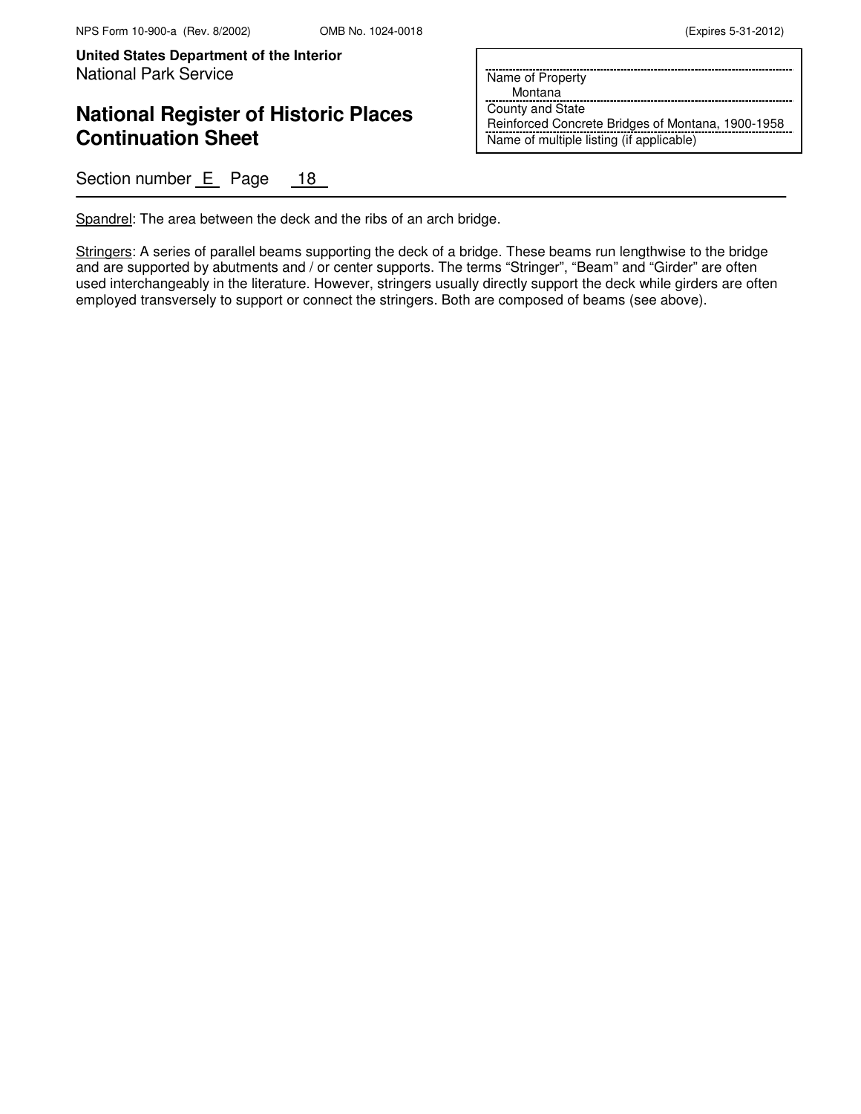## **National Register of Historic Places Continuation Sheet**

Section number E Page 18

| Name of Property                                  |
|---------------------------------------------------|
| Montana                                           |
| County and State                                  |
| Reinforced Concrete Bridges of Montana, 1900-1958 |
| Name of multiple listing (if applicable)          |

Spandrel: The area between the deck and the ribs of an arch bridge.

Stringers: A series of parallel beams supporting the deck of a bridge. These beams run lengthwise to the bridge and are supported by abutments and / or center supports. The terms "Stringer", "Beam" and "Girder" are often used interchangeably in the literature. However, stringers usually directly support the deck while girders are often employed transversely to support or connect the stringers. Both are composed of beams (see above).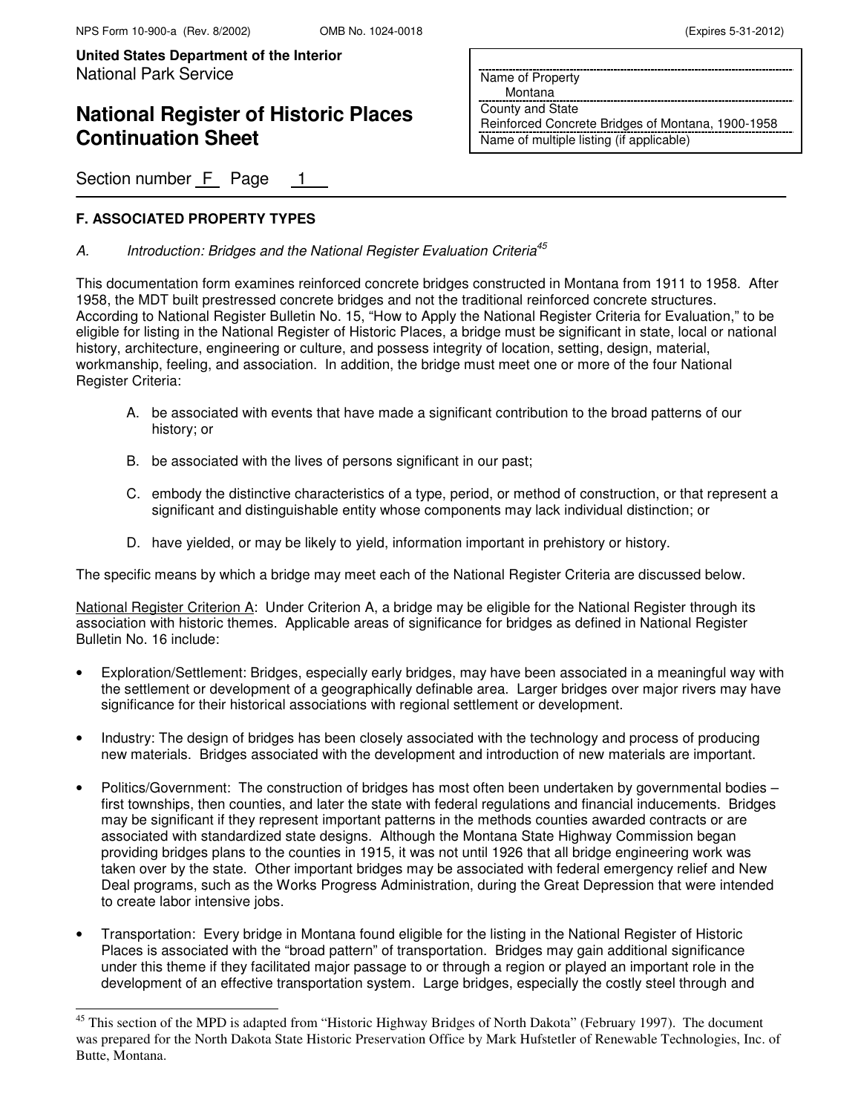# **National Register of Historic Places Continuation Sheet**

Section number F Page

### **F. ASSOCIATED PROPERTY TYPES**

j.

### A. Introduction: Bridges and the National Register Evaluation Criteria<sup>45</sup>

This documentation form examines reinforced concrete bridges constructed in Montana from 1911 to 1958. After 1958, the MDT built prestressed concrete bridges and not the traditional reinforced concrete structures. According to National Register Bulletin No. 15, "How to Apply the National Register Criteria for Evaluation," to be eligible for listing in the National Register of Historic Places, a bridge must be significant in state, local or national history, architecture, engineering or culture, and possess integrity of location, setting, design, material, workmanship, feeling, and association. In addition, the bridge must meet one or more of the four National Register Criteria:

- A. be associated with events that have made a significant contribution to the broad patterns of our history; or
- B. be associated with the lives of persons significant in our past;
- C. embody the distinctive characteristics of a type, period, or method of construction, or that represent a significant and distinguishable entity whose components may lack individual distinction; or
- D. have yielded, or may be likely to yield, information important in prehistory or history.

The specific means by which a bridge may meet each of the National Register Criteria are discussed below.

National Register Criterion A: Under Criterion A, a bridge may be eligible for the National Register through its association with historic themes. Applicable areas of significance for bridges as defined in National Register Bulletin No. 16 include:

- Exploration/Settlement: Bridges, especially early bridges, may have been associated in a meaningful way with the settlement or development of a geographically definable area. Larger bridges over major rivers may have significance for their historical associations with regional settlement or development.
- Industry: The design of bridges has been closely associated with the technology and process of producing new materials. Bridges associated with the development and introduction of new materials are important.
- Politics/Government: The construction of bridges has most often been undertaken by governmental bodies first townships, then counties, and later the state with federal regulations and financial inducements. Bridges may be significant if they represent important patterns in the methods counties awarded contracts or are associated with standardized state designs. Although the Montana State Highway Commission began providing bridges plans to the counties in 1915, it was not until 1926 that all bridge engineering work was taken over by the state. Other important bridges may be associated with federal emergency relief and New Deal programs, such as the Works Progress Administration, during the Great Depression that were intended to create labor intensive jobs.
- Transportation: Every bridge in Montana found eligible for the listing in the National Register of Historic Places is associated with the "broad pattern" of transportation. Bridges may gain additional significance under this theme if they facilitated major passage to or through a region or played an important role in the development of an effective transportation system. Large bridges, especially the costly steel through and

Name of Property Montana County and State

Reinforced Concrete Bridges of Montana, 1900-1958 Name of multiple listing (if applicable)

<sup>&</sup>lt;sup>45</sup> This section of the MPD is adapted from "Historic Highway Bridges of North Dakota" (February 1997). The document was prepared for the North Dakota State Historic Preservation Office by Mark Hufstetler of Renewable Technologies, Inc. of Butte, Montana.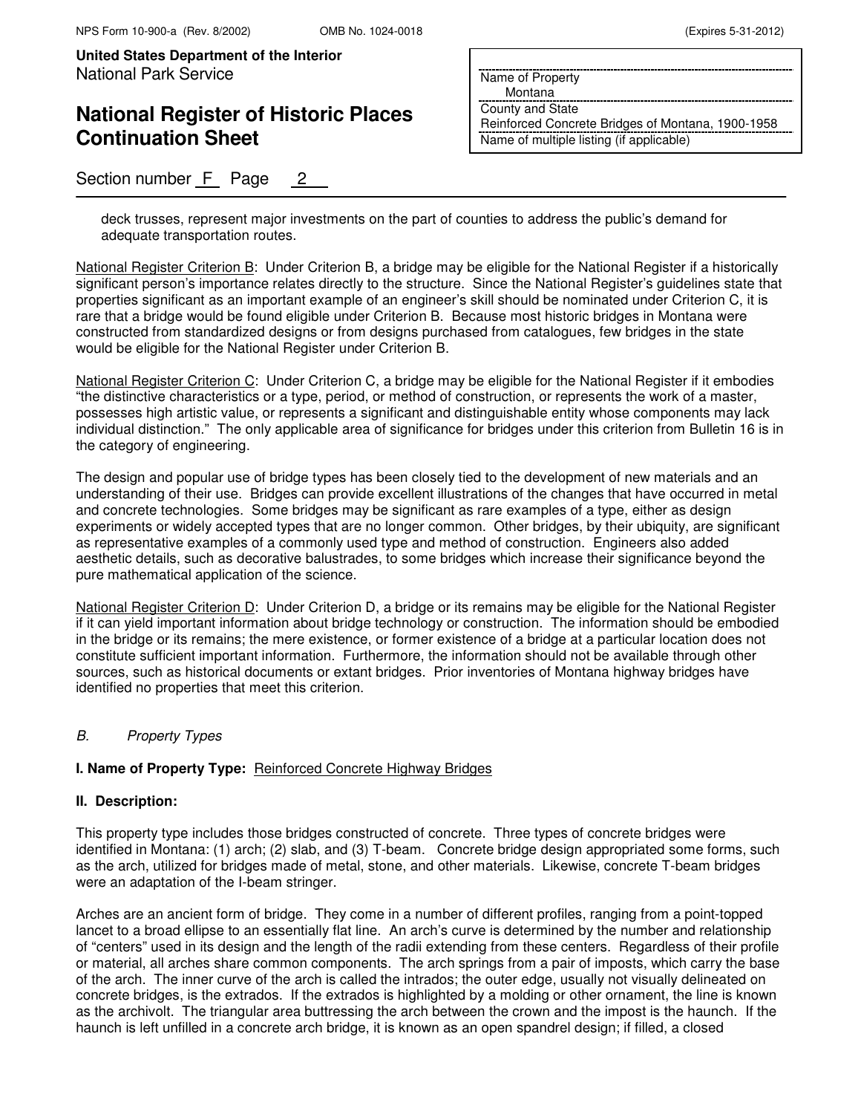## **National Register of Historic Places Continuation Sheet**

Section number F Page 2

Name of Property

Montana

County and State Reinforced Concrete Bridges of Montana, 1900-1958 Name of multiple listing (if applicable)

deck trusses, represent major investments on the part of counties to address the public's demand for adequate transportation routes.

National Register Criterion B: Under Criterion B, a bridge may be eligible for the National Register if a historically significant person's importance relates directly to the structure. Since the National Register's guidelines state that properties significant as an important example of an engineer's skill should be nominated under Criterion C, it is rare that a bridge would be found eligible under Criterion B. Because most historic bridges in Montana were constructed from standardized designs or from designs purchased from catalogues, few bridges in the state would be eligible for the National Register under Criterion B.

National Register Criterion C: Under Criterion C, a bridge may be eligible for the National Register if it embodies "the distinctive characteristics or a type, period, or method of construction, or represents the work of a master, possesses high artistic value, or represents a significant and distinguishable entity whose components may lack individual distinction." The only applicable area of significance for bridges under this criterion from Bulletin 16 is in the category of engineering.

The design and popular use of bridge types has been closely tied to the development of new materials and an understanding of their use. Bridges can provide excellent illustrations of the changes that have occurred in metal and concrete technologies. Some bridges may be significant as rare examples of a type, either as design experiments or widely accepted types that are no longer common. Other bridges, by their ubiquity, are significant as representative examples of a commonly used type and method of construction. Engineers also added aesthetic details, such as decorative balustrades, to some bridges which increase their significance beyond the pure mathematical application of the science.

National Register Criterion D: Under Criterion D, a bridge or its remains may be eligible for the National Register if it can yield important information about bridge technology or construction. The information should be embodied in the bridge or its remains; the mere existence, or former existence of a bridge at a particular location does not constitute sufficient important information. Furthermore, the information should not be available through other sources, such as historical documents or extant bridges. Prior inventories of Montana highway bridges have identified no properties that meet this criterion.

#### B. Property Types

#### **I. Name of Property Type:** Reinforced Concrete Highway Bridges

#### **II. Description:**

This property type includes those bridges constructed of concrete. Three types of concrete bridges were identified in Montana: (1) arch; (2) slab, and (3) T-beam. Concrete bridge design appropriated some forms, such as the arch, utilized for bridges made of metal, stone, and other materials. Likewise, concrete T-beam bridges were an adaptation of the I-beam stringer.

Arches are an ancient form of bridge. They come in a number of different profiles, ranging from a point-topped lancet to a broad ellipse to an essentially flat line. An arch's curve is determined by the number and relationship of "centers" used in its design and the length of the radii extending from these centers. Regardless of their profile or material, all arches share common components. The arch springs from a pair of imposts, which carry the base of the arch. The inner curve of the arch is called the intrados; the outer edge, usually not visually delineated on concrete bridges, is the extrados. If the extrados is highlighted by a molding or other ornament, the line is known as the archivolt. The triangular area buttressing the arch between the crown and the impost is the haunch. If the haunch is left unfilled in a concrete arch bridge, it is known as an open spandrel design; if filled, a closed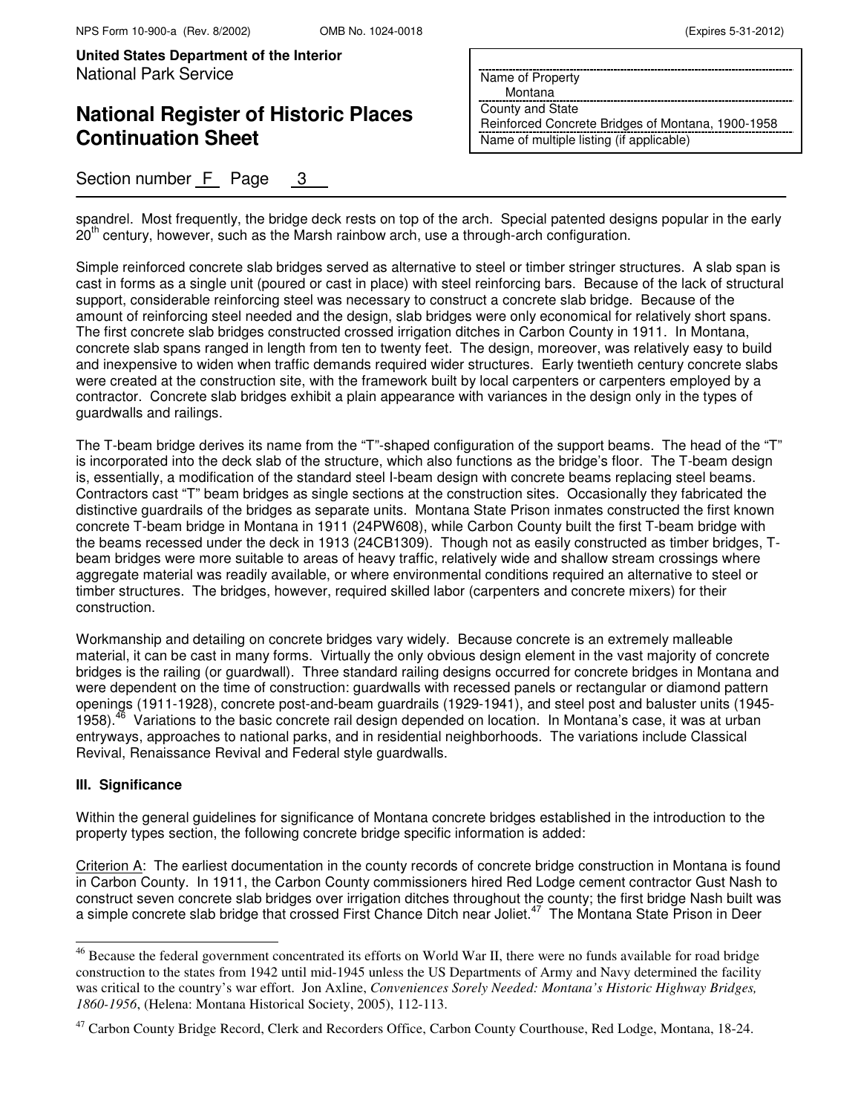# **National Register of Historic Places Continuation Sheet**

Name of Property

Montana

County and State Reinforced Concrete Bridges of Montana, 1900-1958 Name of multiple listing (if applicable)

Section number F Page 3

spandrel. Most frequently, the bridge deck rests on top of the arch. Special patented designs popular in the early  $20<sup>th</sup>$  century, however, such as the Marsh rainbow arch, use a through-arch configuration.

Simple reinforced concrete slab bridges served as alternative to steel or timber stringer structures. A slab span is cast in forms as a single unit (poured or cast in place) with steel reinforcing bars. Because of the lack of structural support, considerable reinforcing steel was necessary to construct a concrete slab bridge. Because of the amount of reinforcing steel needed and the design, slab bridges were only economical for relatively short spans. The first concrete slab bridges constructed crossed irrigation ditches in Carbon County in 1911. In Montana, concrete slab spans ranged in length from ten to twenty feet. The design, moreover, was relatively easy to build and inexpensive to widen when traffic demands required wider structures. Early twentieth century concrete slabs were created at the construction site, with the framework built by local carpenters or carpenters employed by a contractor. Concrete slab bridges exhibit a plain appearance with variances in the design only in the types of guardwalls and railings.

The T-beam bridge derives its name from the "T"-shaped configuration of the support beams. The head of the "T" is incorporated into the deck slab of the structure, which also functions as the bridge's floor. The T-beam design is, essentially, a modification of the standard steel I-beam design with concrete beams replacing steel beams. Contractors cast "T" beam bridges as single sections at the construction sites. Occasionally they fabricated the distinctive guardrails of the bridges as separate units. Montana State Prison inmates constructed the first known concrete T-beam bridge in Montana in 1911 (24PW608), while Carbon County built the first T-beam bridge with the beams recessed under the deck in 1913 (24CB1309). Though not as easily constructed as timber bridges, Tbeam bridges were more suitable to areas of heavy traffic, relatively wide and shallow stream crossings where aggregate material was readily available, or where environmental conditions required an alternative to steel or timber structures. The bridges, however, required skilled labor (carpenters and concrete mixers) for their construction.

Workmanship and detailing on concrete bridges vary widely. Because concrete is an extremely malleable material, it can be cast in many forms. Virtually the only obvious design element in the vast majority of concrete bridges is the railing (or guardwall). Three standard railing designs occurred for concrete bridges in Montana and were dependent on the time of construction: guardwalls with recessed panels or rectangular or diamond pattern openings (1911-1928), concrete post-and-beam guardrails (1929-1941), and steel post and baluster units (1945- 1958).<sup>46</sup> Variations to the basic concrete rail design depended on location. In Montana's case, it was at urban entryways, approaches to national parks, and in residential neighborhoods. The variations include Classical Revival, Renaissance Revival and Federal style guardwalls.

#### **III. Significance**

 $\overline{ }$ 

Within the general guidelines for significance of Montana concrete bridges established in the introduction to the property types section, the following concrete bridge specific information is added:

Criterion A: The earliest documentation in the county records of concrete bridge construction in Montana is found in Carbon County. In 1911, the Carbon County commissioners hired Red Lodge cement contractor Gust Nash to construct seven concrete slab bridges over irrigation ditches throughout the county; the first bridge Nash built was a simple concrete slab bridge that crossed First Chance Ditch near Joliet.<sup>47</sup> The Montana State Prison in Deer

<sup>&</sup>lt;sup>46</sup> Because the federal government concentrated its efforts on World War II, there were no funds available for road bridge construction to the states from 1942 until mid-1945 unless the US Departments of Army and Navy determined the facility was critical to the country's war effort. Jon Axline, *Conveniences Sorely Needed: Montana's Historic Highway Bridges, 1860-1956*, (Helena: Montana Historical Society, 2005), 112-113.

<sup>&</sup>lt;sup>47</sup> Carbon County Bridge Record, Clerk and Recorders Office, Carbon County Courthouse, Red Lodge, Montana, 18-24.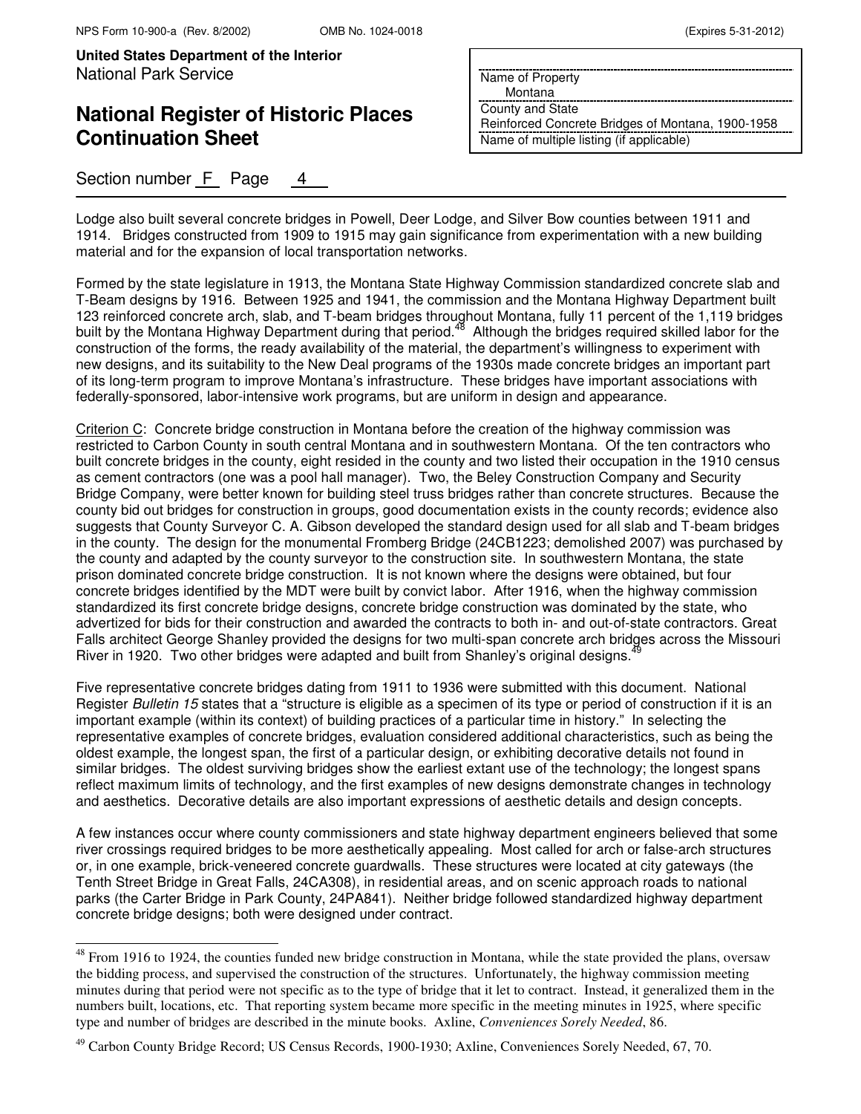$\overline{ }$ 

**United States Department of the Interior** National Park Service

## **National Register of Historic Places Continuation Sheet**

Section number F Page

Name of Property

Montana

County and State Reinforced Concrete Bridges of Montana, 1900-1958 Name of multiple listing (if applicable)

Lodge also built several concrete bridges in Powell, Deer Lodge, and Silver Bow counties between 1911 and 1914. Bridges constructed from 1909 to 1915 may gain significance from experimentation with a new building material and for the expansion of local transportation networks.

Formed by the state legislature in 1913, the Montana State Highway Commission standardized concrete slab and T-Beam designs by 1916. Between 1925 and 1941, the commission and the Montana Highway Department built 123 reinforced concrete arch, slab, and T-beam bridges throughout Montana, fully 11 percent of the 1,119 bridges built by the Montana Highway Department during that period.<sup>48</sup> Although the bridges required skilled labor for the construction of the forms, the ready availability of the material, the department's willingness to experiment with new designs, and its suitability to the New Deal programs of the 1930s made concrete bridges an important part of its long-term program to improve Montana's infrastructure. These bridges have important associations with federally-sponsored, labor-intensive work programs, but are uniform in design and appearance.

Criterion C: Concrete bridge construction in Montana before the creation of the highway commission was restricted to Carbon County in south central Montana and in southwestern Montana. Of the ten contractors who built concrete bridges in the county, eight resided in the county and two listed their occupation in the 1910 census as cement contractors (one was a pool hall manager). Two, the Beley Construction Company and Security Bridge Company, were better known for building steel truss bridges rather than concrete structures. Because the county bid out bridges for construction in groups, good documentation exists in the county records; evidence also suggests that County Surveyor C. A. Gibson developed the standard design used for all slab and T-beam bridges in the county. The design for the monumental Fromberg Bridge (24CB1223; demolished 2007) was purchased by the county and adapted by the county surveyor to the construction site. In southwestern Montana, the state prison dominated concrete bridge construction. It is not known where the designs were obtained, but four concrete bridges identified by the MDT were built by convict labor. After 1916, when the highway commission standardized its first concrete bridge designs, concrete bridge construction was dominated by the state, who advertized for bids for their construction and awarded the contracts to both in- and out-of-state contractors. Great Falls architect George Shanley provided the designs for two multi-span concrete arch bridges across the Missouri River in 1920. Two other bridges were adapted and built from Shanley's original designs.<sup>4</sup>

Five representative concrete bridges dating from 1911 to 1936 were submitted with this document. National Register Bulletin 15 states that a "structure is eligible as a specimen of its type or period of construction if it is an important example (within its context) of building practices of a particular time in history." In selecting the representative examples of concrete bridges, evaluation considered additional characteristics, such as being the oldest example, the longest span, the first of a particular design, or exhibiting decorative details not found in similar bridges. The oldest surviving bridges show the earliest extant use of the technology; the longest spans reflect maximum limits of technology, and the first examples of new designs demonstrate changes in technology and aesthetics. Decorative details are also important expressions of aesthetic details and design concepts.

A few instances occur where county commissioners and state highway department engineers believed that some river crossings required bridges to be more aesthetically appealing. Most called for arch or false-arch structures or, in one example, brick-veneered concrete guardwalls. These structures were located at city gateways (the Tenth Street Bridge in Great Falls, 24CA308), in residential areas, and on scenic approach roads to national parks (the Carter Bridge in Park County, 24PA841). Neither bridge followed standardized highway department concrete bridge designs; both were designed under contract.

 $48$  From 1916 to 1924, the counties funded new bridge construction in Montana, while the state provided the plans, oversaw the bidding process, and supervised the construction of the structures. Unfortunately, the highway commission meeting minutes during that period were not specific as to the type of bridge that it let to contract. Instead, it generalized them in the numbers built, locations, etc. That reporting system became more specific in the meeting minutes in 1925, where specific type and number of bridges are described in the minute books. Axline, *Conveniences Sorely Needed*, 86.

<sup>&</sup>lt;sup>49</sup> Carbon County Bridge Record; US Census Records, 1900-1930; Axline, Conveniences Sorely Needed, 67, 70.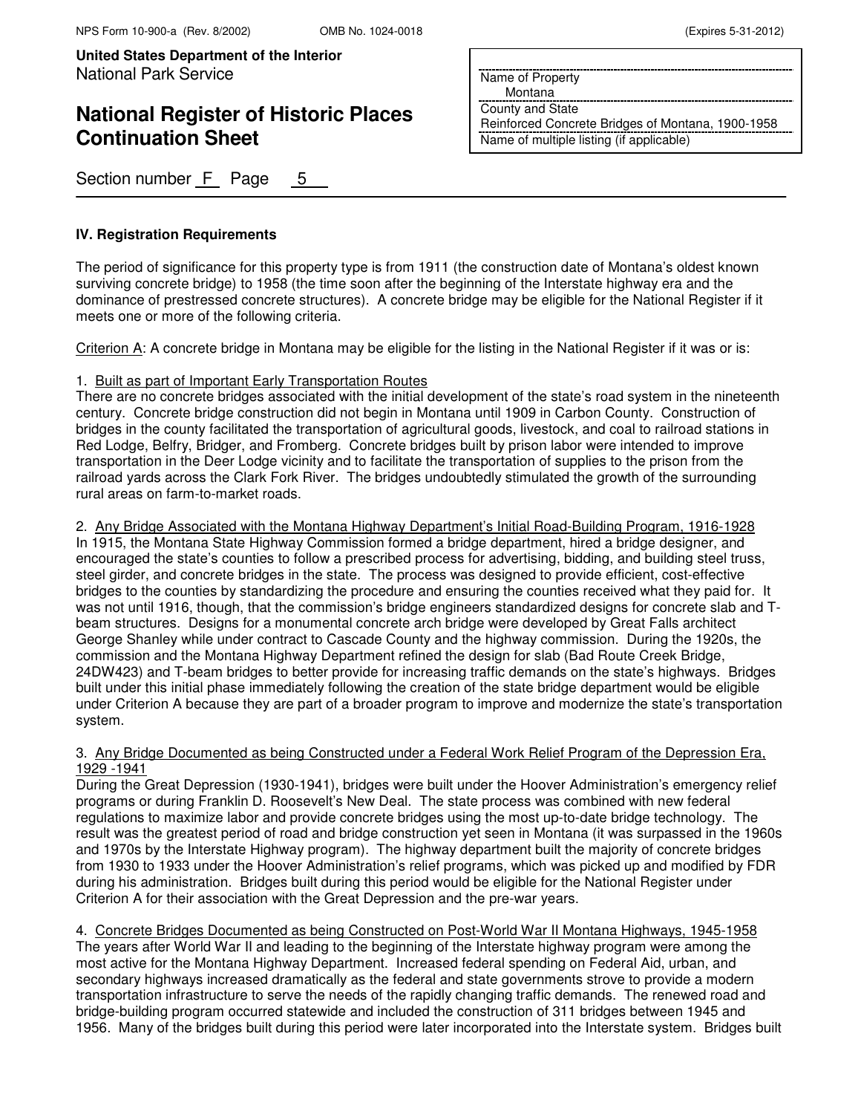# **National Register of Historic Places Continuation Sheet**

Name of Property Montana

County and State

Reinforced Concrete Bridges of Montana, 1900-1958 Name of multiple listing (if applicable)

Section number F Page 5

### **IV. Registration Requirements**

The period of significance for this property type is from 1911 (the construction date of Montana's oldest known surviving concrete bridge) to 1958 (the time soon after the beginning of the Interstate highway era and the dominance of prestressed concrete structures). A concrete bridge may be eligible for the National Register if it meets one or more of the following criteria.

Criterion A: A concrete bridge in Montana may be eligible for the listing in the National Register if it was or is:

#### 1. Built as part of Important Early Transportation Routes

There are no concrete bridges associated with the initial development of the state's road system in the nineteenth century. Concrete bridge construction did not begin in Montana until 1909 in Carbon County. Construction of bridges in the county facilitated the transportation of agricultural goods, livestock, and coal to railroad stations in Red Lodge, Belfry, Bridger, and Fromberg. Concrete bridges built by prison labor were intended to improve transportation in the Deer Lodge vicinity and to facilitate the transportation of supplies to the prison from the railroad yards across the Clark Fork River. The bridges undoubtedly stimulated the growth of the surrounding rural areas on farm-to-market roads.

2. Any Bridge Associated with the Montana Highway Department's Initial Road-Building Program, 1916-1928 In 1915, the Montana State Highway Commission formed a bridge department, hired a bridge designer, and encouraged the state's counties to follow a prescribed process for advertising, bidding, and building steel truss, steel girder, and concrete bridges in the state. The process was designed to provide efficient, cost-effective bridges to the counties by standardizing the procedure and ensuring the counties received what they paid for. It was not until 1916, though, that the commission's bridge engineers standardized designs for concrete slab and Tbeam structures. Designs for a monumental concrete arch bridge were developed by Great Falls architect George Shanley while under contract to Cascade County and the highway commission. During the 1920s, the commission and the Montana Highway Department refined the design for slab (Bad Route Creek Bridge, 24DW423) and T-beam bridges to better provide for increasing traffic demands on the state's highways. Bridges built under this initial phase immediately following the creation of the state bridge department would be eligible under Criterion A because they are part of a broader program to improve and modernize the state's transportation system.

#### 3. Any Bridge Documented as being Constructed under a Federal Work Relief Program of the Depression Era, 1929 -1941

During the Great Depression (1930-1941), bridges were built under the Hoover Administration's emergency relief programs or during Franklin D. Roosevelt's New Deal. The state process was combined with new federal regulations to maximize labor and provide concrete bridges using the most up-to-date bridge technology. The result was the greatest period of road and bridge construction yet seen in Montana (it was surpassed in the 1960s and 1970s by the Interstate Highway program). The highway department built the majority of concrete bridges from 1930 to 1933 under the Hoover Administration's relief programs, which was picked up and modified by FDR during his administration. Bridges built during this period would be eligible for the National Register under Criterion A for their association with the Great Depression and the pre-war years.

4. Concrete Bridges Documented as being Constructed on Post-World War II Montana Highways, 1945-1958 The years after World War II and leading to the beginning of the Interstate highway program were among the most active for the Montana Highway Department. Increased federal spending on Federal Aid, urban, and secondary highways increased dramatically as the federal and state governments strove to provide a modern transportation infrastructure to serve the needs of the rapidly changing traffic demands. The renewed road and bridge-building program occurred statewide and included the construction of 311 bridges between 1945 and 1956. Many of the bridges built during this period were later incorporated into the Interstate system. Bridges built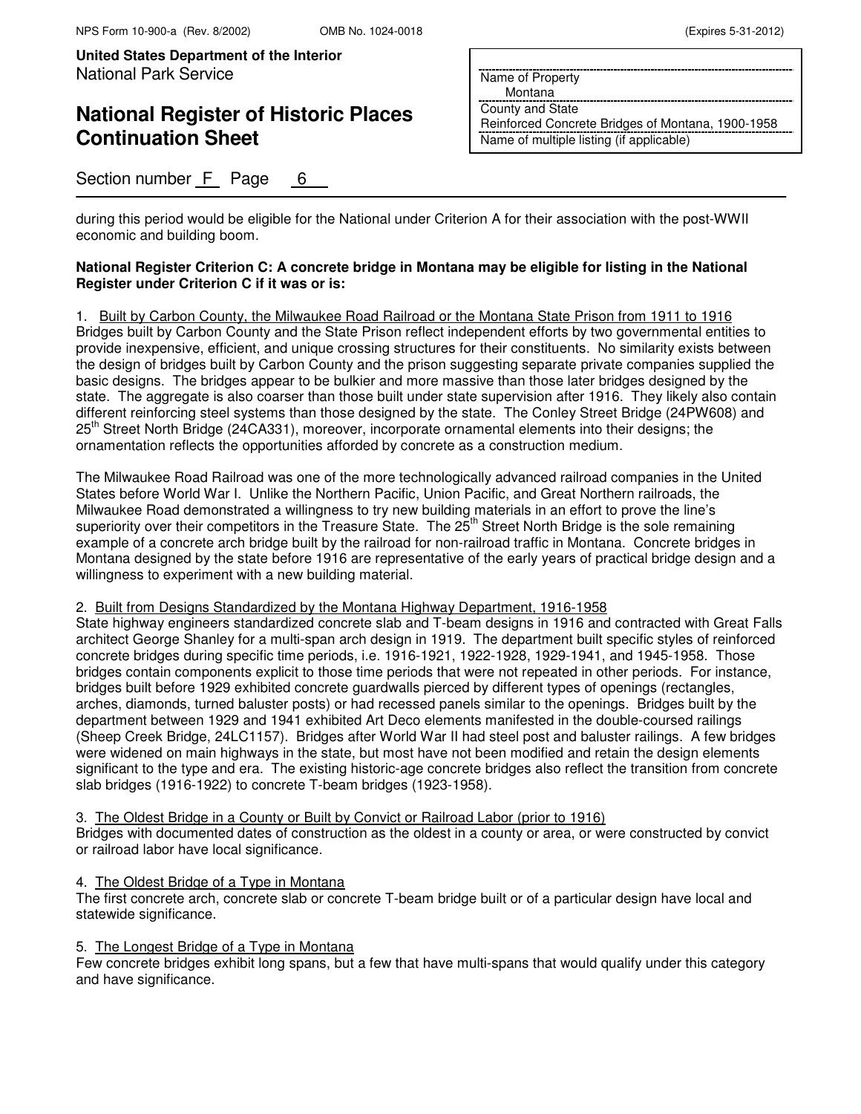# **National Register of Historic Places Continuation Sheet**

 Montana County and State Reinforced Concrete Bridges of Montana, 1900-1958

Name of multiple listing (if applicable)

Name of Property

Section number F Page 6

during this period would be eligible for the National under Criterion A for their association with the post-WWII economic and building boom.

### **National Register Criterion C: A concrete bridge in Montana may be eligible for listing in the National Register under Criterion C if it was or is:**

### 1. Built by Carbon County, the Milwaukee Road Railroad or the Montana State Prison from 1911 to 1916

Bridges built by Carbon County and the State Prison reflect independent efforts by two governmental entities to provide inexpensive, efficient, and unique crossing structures for their constituents. No similarity exists between the design of bridges built by Carbon County and the prison suggesting separate private companies supplied the basic designs. The bridges appear to be bulkier and more massive than those later bridges designed by the state. The aggregate is also coarser than those built under state supervision after 1916. They likely also contain different reinforcing steel systems than those designed by the state. The Conley Street Bridge (24PW608) and 25<sup>th</sup> Street North Bridge (24CA331), moreover, incorporate ornamental elements into their designs; the ornamentation reflects the opportunities afforded by concrete as a construction medium.

The Milwaukee Road Railroad was one of the more technologically advanced railroad companies in the United States before World War I. Unlike the Northern Pacific, Union Pacific, and Great Northern railroads, the Milwaukee Road demonstrated a willingness to try new building materials in an effort to prove the line's superiority over their competitors in the Treasure State. The 25<sup>th</sup> Street North Bridge is the sole remaining example of a concrete arch bridge built by the railroad for non-railroad traffic in Montana. Concrete bridges in Montana designed by the state before 1916 are representative of the early years of practical bridge design and a willingness to experiment with a new building material.

### 2. Built from Designs Standardized by the Montana Highway Department, 1916-1958

State highway engineers standardized concrete slab and T-beam designs in 1916 and contracted with Great Falls architect George Shanley for a multi-span arch design in 1919. The department built specific styles of reinforced concrete bridges during specific time periods, i.e. 1916-1921, 1922-1928, 1929-1941, and 1945-1958. Those bridges contain components explicit to those time periods that were not repeated in other periods. For instance, bridges built before 1929 exhibited concrete guardwalls pierced by different types of openings (rectangles, arches, diamonds, turned baluster posts) or had recessed panels similar to the openings. Bridges built by the department between 1929 and 1941 exhibited Art Deco elements manifested in the double-coursed railings (Sheep Creek Bridge, 24LC1157). Bridges after World War II had steel post and baluster railings. A few bridges were widened on main highways in the state, but most have not been modified and retain the design elements significant to the type and era. The existing historic-age concrete bridges also reflect the transition from concrete slab bridges (1916-1922) to concrete T-beam bridges (1923-1958).

3. The Oldest Bridge in a County or Built by Convict or Railroad Labor (prior to 1916)

Bridges with documented dates of construction as the oldest in a county or area, or were constructed by convict or railroad labor have local significance.

### 4. The Oldest Bridge of a Type in Montana

The first concrete arch, concrete slab or concrete T-beam bridge built or of a particular design have local and statewide significance.

### 5. The Longest Bridge of a Type in Montana

Few concrete bridges exhibit long spans, but a few that have multi-spans that would qualify under this category and have significance.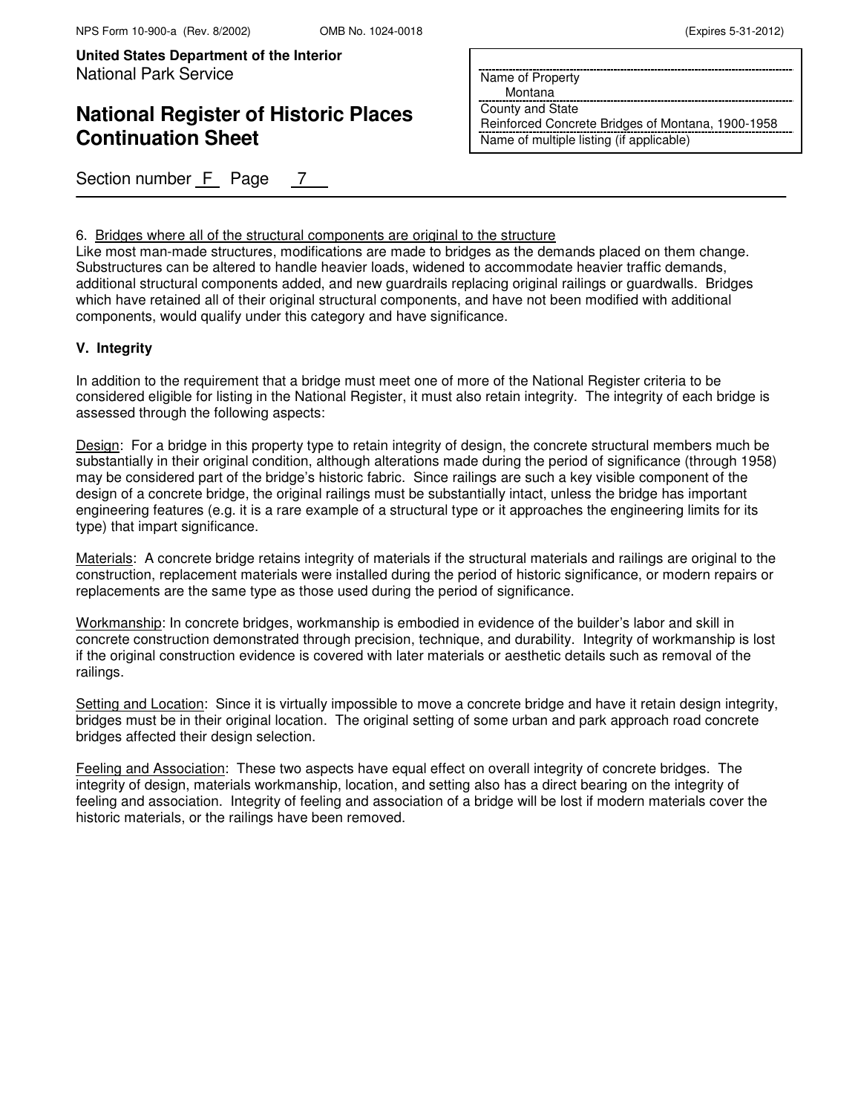## **National Register of Historic Places Continuation Sheet**

Section number F Page 7

Name of Property

Montana

County and State Reinforced Concrete Bridges of Montana, 1900-1958 Name of multiple listing (if applicable)

6. Bridges where all of the structural components are original to the structure

Like most man-made structures, modifications are made to bridges as the demands placed on them change. Substructures can be altered to handle heavier loads, widened to accommodate heavier traffic demands, additional structural components added, and new guardrails replacing original railings or guardwalls. Bridges which have retained all of their original structural components, and have not been modified with additional components, would qualify under this category and have significance.

### **V. Integrity**

In addition to the requirement that a bridge must meet one of more of the National Register criteria to be considered eligible for listing in the National Register, it must also retain integrity. The integrity of each bridge is assessed through the following aspects:

Design: For a bridge in this property type to retain integrity of design, the concrete structural members much be substantially in their original condition, although alterations made during the period of significance (through 1958) may be considered part of the bridge's historic fabric. Since railings are such a key visible component of the design of a concrete bridge, the original railings must be substantially intact, unless the bridge has important engineering features (e.g. it is a rare example of a structural type or it approaches the engineering limits for its type) that impart significance.

Materials: A concrete bridge retains integrity of materials if the structural materials and railings are original to the construction, replacement materials were installed during the period of historic significance, or modern repairs or replacements are the same type as those used during the period of significance.

Workmanship: In concrete bridges, workmanship is embodied in evidence of the builder's labor and skill in concrete construction demonstrated through precision, technique, and durability. Integrity of workmanship is lost if the original construction evidence is covered with later materials or aesthetic details such as removal of the railings.

Setting and Location: Since it is virtually impossible to move a concrete bridge and have it retain design integrity, bridges must be in their original location. The original setting of some urban and park approach road concrete bridges affected their design selection.

Feeling and Association: These two aspects have equal effect on overall integrity of concrete bridges. The integrity of design, materials workmanship, location, and setting also has a direct bearing on the integrity of feeling and association. Integrity of feeling and association of a bridge will be lost if modern materials cover the historic materials, or the railings have been removed.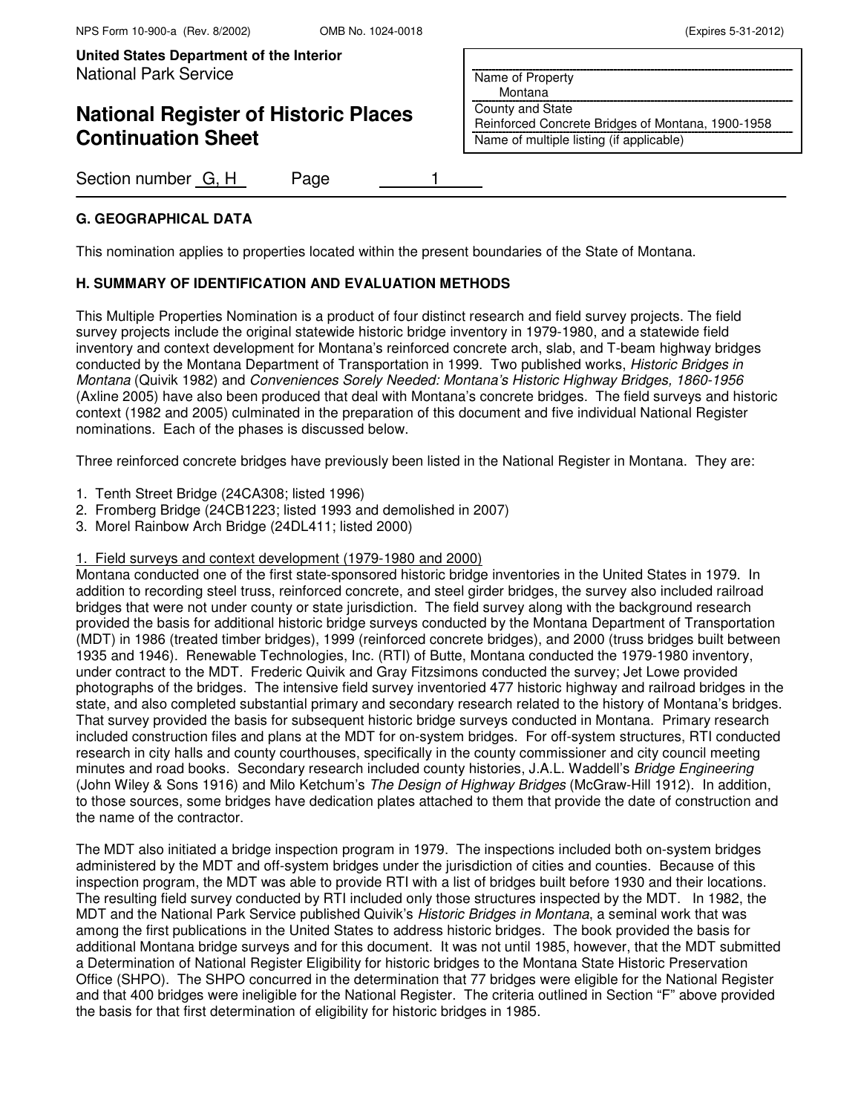## **National Register of Historic Places Continuation Sheet**

Section number G, H Page 1

### **G. GEOGRAPHICAL DATA**

This nomination applies to properties located within the present boundaries of the State of Montana.

### **H. SUMMARY OF IDENTIFICATION AND EVALUATION METHODS**

This Multiple Properties Nomination is a product of four distinct research and field survey projects. The field survey projects include the original statewide historic bridge inventory in 1979-1980, and a statewide field inventory and context development for Montana's reinforced concrete arch, slab, and T-beam highway bridges conducted by the Montana Department of Transportation in 1999. Two published works, Historic Bridges in Montana (Quivik 1982) and Conveniences Sorely Needed: Montana's Historic Highway Bridges, 1860-1956 (Axline 2005) have also been produced that deal with Montana's concrete bridges. The field surveys and historic context (1982 and 2005) culminated in the preparation of this document and five individual National Register nominations. Each of the phases is discussed below.

Three reinforced concrete bridges have previously been listed in the National Register in Montana. They are:

- 1. Tenth Street Bridge (24CA308; listed 1996)
- 2. Fromberg Bridge (24CB1223; listed 1993 and demolished in 2007)
- 3. Morel Rainbow Arch Bridge (24DL411; listed 2000)

#### 1. Field surveys and context development (1979-1980 and 2000)

Montana conducted one of the first state-sponsored historic bridge inventories in the United States in 1979. In addition to recording steel truss, reinforced concrete, and steel girder bridges, the survey also included railroad bridges that were not under county or state jurisdiction. The field survey along with the background research provided the basis for additional historic bridge surveys conducted by the Montana Department of Transportation (MDT) in 1986 (treated timber bridges), 1999 (reinforced concrete bridges), and 2000 (truss bridges built between 1935 and 1946). Renewable Technologies, Inc. (RTI) of Butte, Montana conducted the 1979-1980 inventory, under contract to the MDT. Frederic Quivik and Gray Fitzsimons conducted the survey; Jet Lowe provided photographs of the bridges. The intensive field survey inventoried 477 historic highway and railroad bridges in the state, and also completed substantial primary and secondary research related to the history of Montana's bridges. That survey provided the basis for subsequent historic bridge surveys conducted in Montana. Primary research included construction files and plans at the MDT for on-system bridges. For off-system structures, RTI conducted research in city halls and county courthouses, specifically in the county commissioner and city council meeting minutes and road books. Secondary research included county histories, J.A.L. Waddell's Bridge Engineering (John Wiley & Sons 1916) and Milo Ketchum's The Design of Highway Bridges (McGraw-Hill 1912). In addition, to those sources, some bridges have dedication plates attached to them that provide the date of construction and the name of the contractor.

The MDT also initiated a bridge inspection program in 1979. The inspections included both on-system bridges administered by the MDT and off-system bridges under the jurisdiction of cities and counties. Because of this inspection program, the MDT was able to provide RTI with a list of bridges built before 1930 and their locations. The resulting field survey conducted by RTI included only those structures inspected by the MDT. In 1982, the MDT and the National Park Service published Quivik's Historic Bridges in Montana, a seminal work that was among the first publications in the United States to address historic bridges. The book provided the basis for additional Montana bridge surveys and for this document. It was not until 1985, however, that the MDT submitted a Determination of National Register Eligibility for historic bridges to the Montana State Historic Preservation Office (SHPO). The SHPO concurred in the determination that 77 bridges were eligible for the National Register and that 400 bridges were ineligible for the National Register. The criteria outlined in Section "F" above provided the basis for that first determination of eligibility for historic bridges in 1985.

Name of Property

Montana

County and State Reinforced Concrete Bridges of Montana, 1900-1958 Name of multiple listing (if applicable)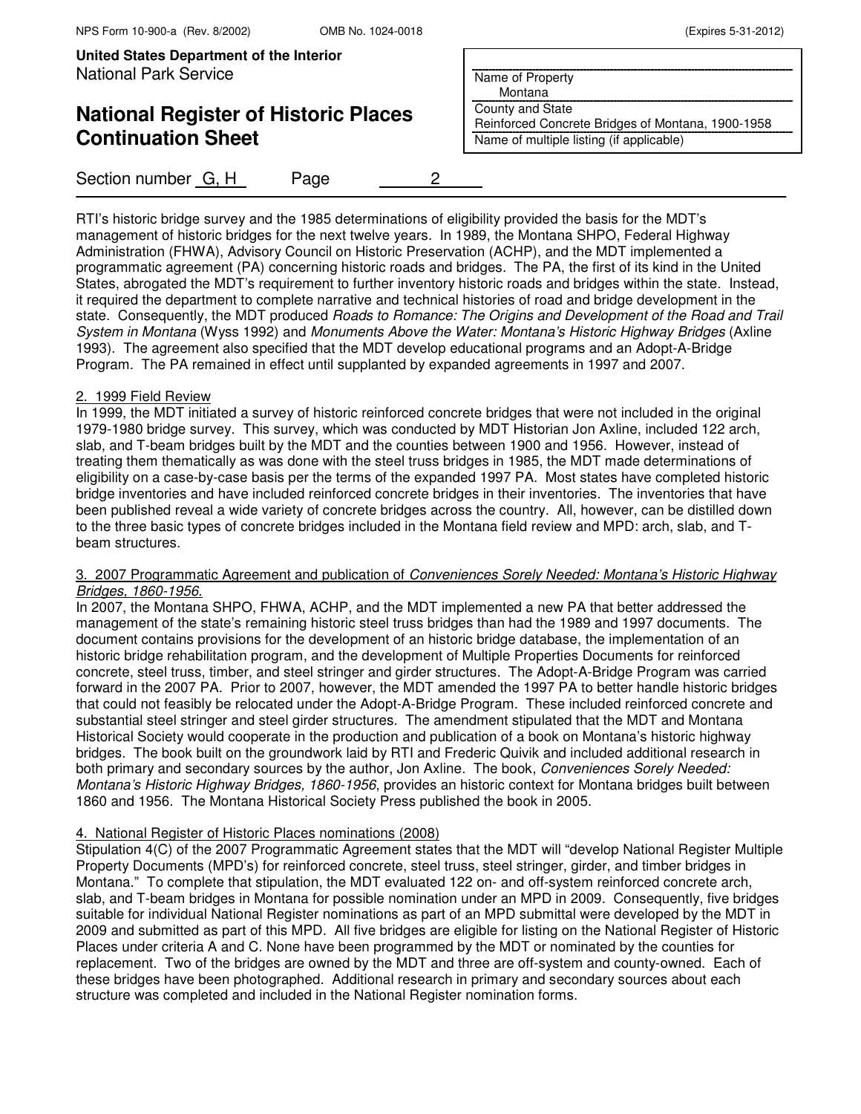# **National Register of Historic Places Continuation Sheet**

Name of Property

 Montana County and State

Reinforced Concrete Bridges of Montana, 1900-1958 Name of multiple listing (if applicable)

Section number G, H Page 2

RTI's historic bridge survey and the 1985 determinations of eligibility provided the basis for the MDT's management of historic bridges for the next twelve years. In 1989, the Montana SHPO, Federal Highway Administration (FHWA), Advisory Council on Historic Preservation (ACHP), and the MDT implemented a programmatic agreement (PA) concerning historic roads and bridges. The PA, the first of its kind in the United States, abrogated the MDT's requirement to further inventory historic roads and bridges within the state. Instead, it required the department to complete narrative and technical histories of road and bridge development in the state. Consequently, the MDT produced Roads to Romance: The Origins and Development of the Road and Trail System in Montana (Wyss 1992) and Monuments Above the Water: Montana's Historic Highway Bridges (Axline 1993). The agreement also specified that the MDT develop educational programs and an Adopt-A-Bridge Program. The PA remained in effect until supplanted by expanded agreements in 1997 and 2007.

#### 2. 1999 Field Review

In 1999, the MDT initiated a survey of historic reinforced concrete bridges that were not included in the original 1979-1980 bridge survey. This survey, which was conducted by MDT Historian Jon Axline, included 122 arch, slab, and T-beam bridges built by the MDT and the counties between 1900 and 1956. However, instead of treating them thematically as was done with the steel truss bridges in 1985, the MDT made determinations of eligibility on a case-by-case basis per the terms of the expanded 1997 PA. Most states have completed historic bridge inventories and have included reinforced concrete bridges in their inventories. The inventories that have been published reveal a wide variety of concrete bridges across the country. All, however, can be distilled down to the three basic types of concrete bridges included in the Montana field review and MPD: arch, slab, and Tbeam structures.

#### 3. 2007 Programmatic Agreement and publication of Conveniences Sorely Needed: Montana's Historic Highway Bridges, 1860-1956.

In 2007, the Montana SHPO, FHWA, ACHP, and the MDT implemented a new PA that better addressed the management of the state's remaining historic steel truss bridges than had the 1989 and 1997 documents. The document contains provisions for the development of an historic bridge database, the implementation of an historic bridge rehabilitation program, and the development of Multiple Properties Documents for reinforced concrete, steel truss, timber, and steel stringer and girder structures. The Adopt-A-Bridge Program was carried forward in the 2007 PA. Prior to 2007, however, the MDT amended the 1997 PA to better handle historic bridges that could not feasibly be relocated under the Adopt-A-Bridge Program. These included reinforced concrete and substantial steel stringer and steel girder structures. The amendment stipulated that the MDT and Montana Historical Society would cooperate in the production and publication of a book on Montana's historic highway bridges. The book built on the groundwork laid by RTI and Frederic Quivik and included additional research in both primary and secondary sources by the author, Jon Axline. The book, Conveniences Sorely Needed: Montana's Historic Highway Bridges, 1860-1956, provides an historic context for Montana bridges built between 1860 and 1956. The Montana Historical Society Press published the book in 2005.

#### 4. National Register of Historic Places nominations (2008)

Stipulation 4(C) of the 2007 Programmatic Agreement states that the MDT will "develop National Register Multiple Property Documents (MPD's) for reinforced concrete, steel truss, steel stringer, girder, and timber bridges in Montana." To complete that stipulation, the MDT evaluated 122 on- and off-system reinforced concrete arch, slab, and T-beam bridges in Montana for possible nomination under an MPD in 2009. Consequently, five bridges suitable for individual National Register nominations as part of an MPD submittal were developed by the MDT in 2009 and submitted as part of this MPD. All five bridges are eligible for listing on the National Register of Historic Places under criteria A and C. None have been programmed by the MDT or nominated by the counties for replacement. Two of the bridges are owned by the MDT and three are off-system and county-owned. Each of these bridges have been photographed. Additional research in primary and secondary sources about each structure was completed and included in the National Register nomination forms.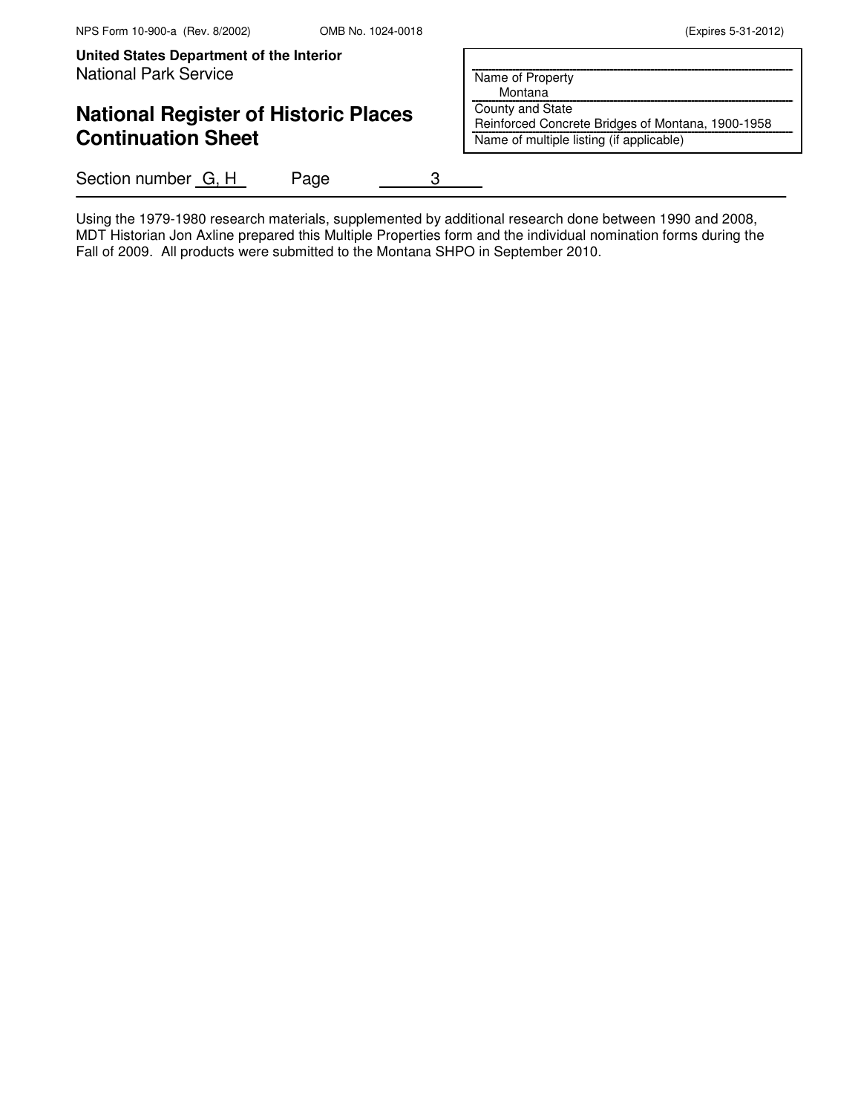### **National Register of Historic Places Continuation Sheet**

Section number G, H Page 3

Name of Property

 Montana County and State

Reinforced Concrete Bridges of Montana, 1900-1958 Name of multiple listing (if applicable)

Using the 1979-1980 research materials, supplemented by additional research done between 1990 and 2008, MDT Historian Jon Axline prepared this Multiple Properties form and the individual nomination forms during the Fall of 2009. All products were submitted to the Montana SHPO in September 2010.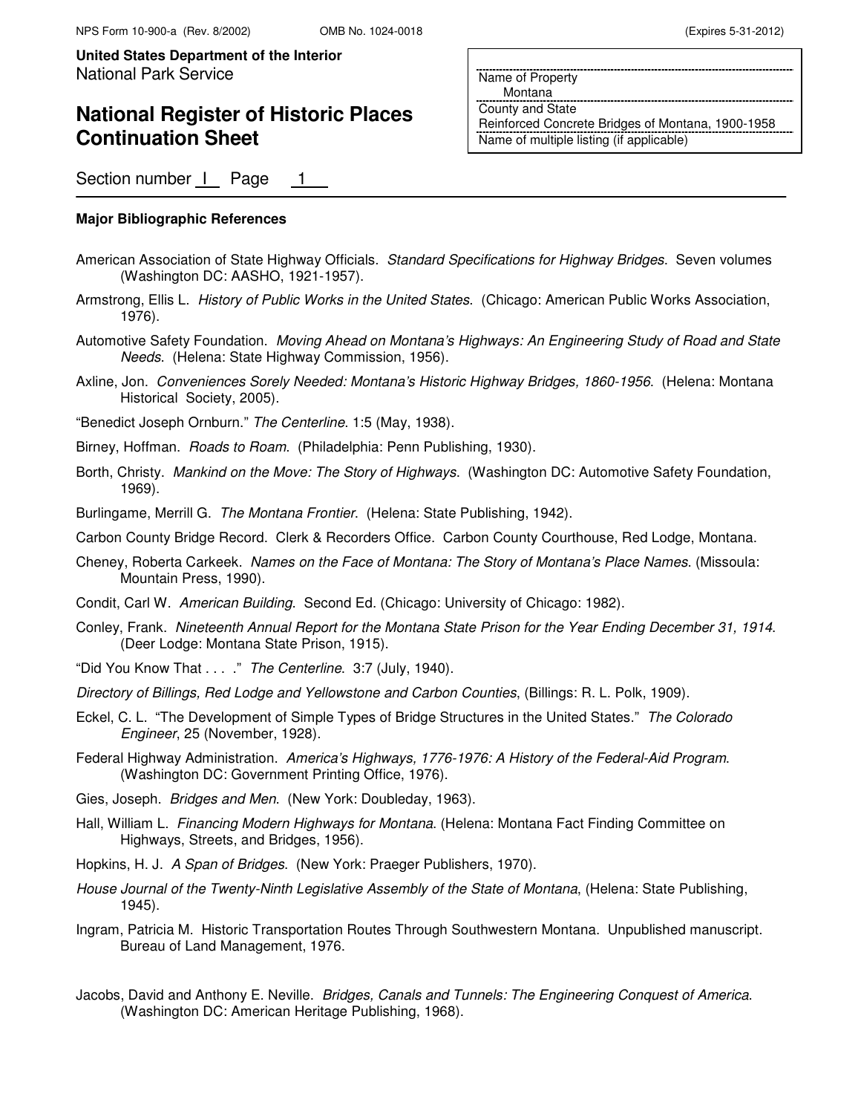### **National Register of Historic Places Continuation Sheet**

Name of Property Montana County and State

Reinforced Concrete Bridges of Montana, 1900-1958 Name of multiple listing (if applicable)

Section number | Page 1

#### **Major Bibliographic References**

- American Association of State Highway Officials. Standard Specifications for Highway Bridges. Seven volumes (Washington DC: AASHO, 1921-1957).
- Armstrong, Ellis L. History of Public Works in the United States. (Chicago: American Public Works Association, 1976).
- Automotive Safety Foundation. Moving Ahead on Montana's Highways: An Engineering Study of Road and State Needs. (Helena: State Highway Commission, 1956).
- Axline, Jon. Conveniences Sorely Needed: Montana's Historic Highway Bridges, 1860-1956. (Helena: Montana Historical Society, 2005).

"Benedict Joseph Ornburn." The Centerline. 1:5 (May, 1938).

Birney, Hoffman. Roads to Roam. (Philadelphia: Penn Publishing, 1930).

- Borth, Christy. Mankind on the Move: The Story of Highways. (Washington DC: Automotive Safety Foundation, 1969).
- Burlingame, Merrill G. The Montana Frontier. (Helena: State Publishing, 1942).

Carbon County Bridge Record. Clerk & Recorders Office. Carbon County Courthouse, Red Lodge, Montana.

- Cheney, Roberta Carkeek. Names on the Face of Montana: The Story of Montana's Place Names. (Missoula: Mountain Press, 1990).
- Condit, Carl W. American Building. Second Ed. (Chicago: University of Chicago: 1982).
- Conley, Frank. Nineteenth Annual Report for the Montana State Prison for the Year Ending December 31, 1914. (Deer Lodge: Montana State Prison, 1915).
- "Did You Know That . . . ." The Centerline. 3:7 (July, 1940).
- Directory of Billings, Red Lodge and Yellowstone and Carbon Counties, (Billings: R. L. Polk, 1909).
- Eckel, C. L. "The Development of Simple Types of Bridge Structures in the United States." The Colorado Engineer, 25 (November, 1928).
- Federal Highway Administration. America's Highways, 1776-1976: A History of the Federal-Aid Program. (Washington DC: Government Printing Office, 1976).
- Gies, Joseph. Bridges and Men. (New York: Doubleday, 1963).
- Hall, William L. Financing Modern Highways for Montana. (Helena: Montana Fact Finding Committee on Highways, Streets, and Bridges, 1956).
- Hopkins, H. J. A Span of Bridges. (New York: Praeger Publishers, 1970).
- House Journal of the Twenty-Ninth Legislative Assembly of the State of Montana, (Helena: State Publishing, 1945).
- Ingram, Patricia M. Historic Transportation Routes Through Southwestern Montana. Unpublished manuscript. Bureau of Land Management, 1976.
- Jacobs, David and Anthony E. Neville. Bridges, Canals and Tunnels: The Engineering Conquest of America. (Washington DC: American Heritage Publishing, 1968).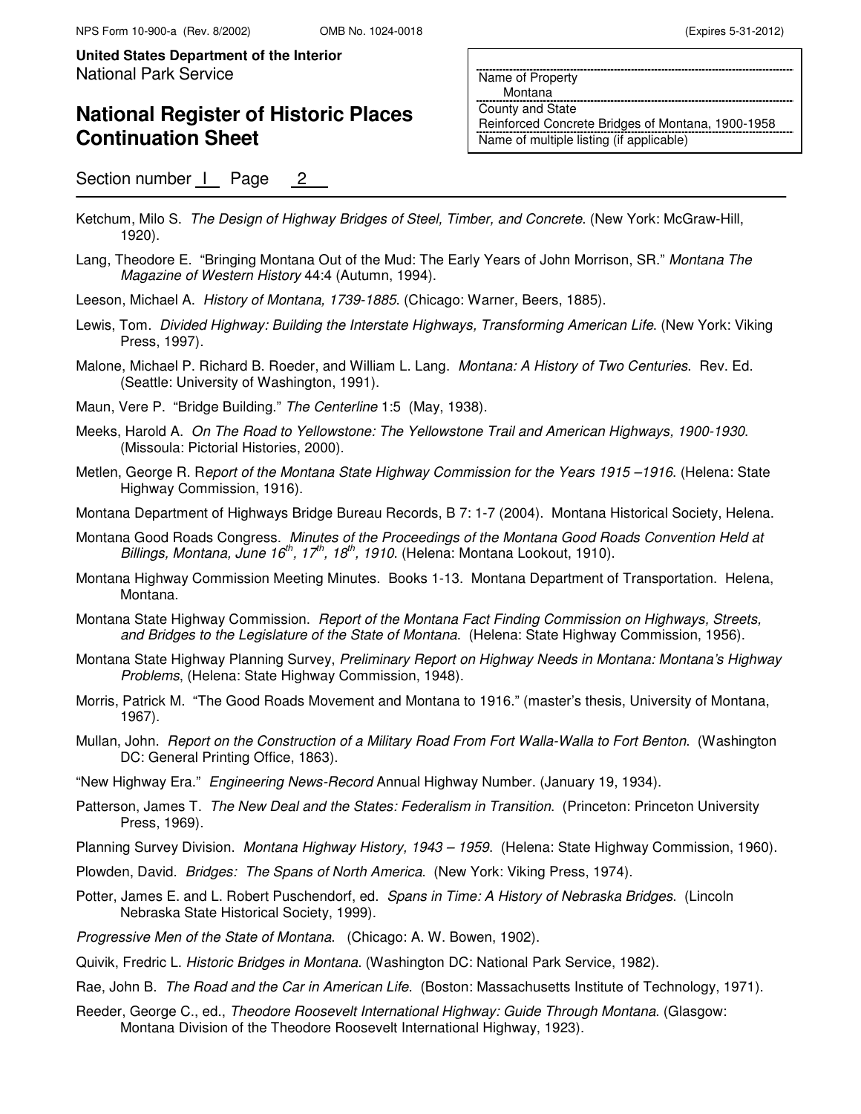### **National Register of Historic Places Continuation Sheet**

Section number | Page 2

Name of Property

Montana

County and State Reinforced Concrete Bridges of Montana, 1900-1958 Name of multiple listing (if applicable)

- Ketchum, Milo S. The Design of Highway Bridges of Steel, Timber, and Concrete. (New York: McGraw-Hill, 1920).
- Lang, Theodore E. "Bringing Montana Out of the Mud: The Early Years of John Morrison, SR." Montana The Magazine of Western History 44:4 (Autumn, 1994).
- Leeson, Michael A. History of Montana, 1739-1885. (Chicago: Warner, Beers, 1885).
- Lewis, Tom. Divided Highway: Building the Interstate Highways, Transforming American Life. (New York: Viking Press, 1997).
- Malone, Michael P. Richard B. Roeder, and William L. Lang. Montana: A History of Two Centuries. Rev. Ed. (Seattle: University of Washington, 1991).
- Maun, Vere P. "Bridge Building." The Centerline 1:5 (May, 1938).
- Meeks, Harold A. On The Road to Yellowstone: The Yellowstone Trail and American Highways, 1900-1930. (Missoula: Pictorial Histories, 2000).
- Metlen, George R. Report of the Montana State Highway Commission for the Years 1915 -1916. (Helena: State Highway Commission, 1916).
- Montana Department of Highways Bridge Bureau Records, B 7: 1-7 (2004). Montana Historical Society, Helena.
- Montana Good Roads Congress. Minutes of the Proceedings of the Montana Good Roads Convention Held at Billings, Montana, June 16<sup>th</sup>, 17<sup>th</sup>, 18<sup>th</sup>, 1910. (Helena: Montana Lookout, 1910).
- Montana Highway Commission Meeting Minutes. Books 1-13. Montana Department of Transportation. Helena, Montana.
- Montana State Highway Commission. Report of the Montana Fact Finding Commission on Highways, Streets, and Bridges to the Legislature of the State of Montana. (Helena: State Highway Commission, 1956).
- Montana State Highway Planning Survey, Preliminary Report on Highway Needs in Montana: Montana's Highway Problems, (Helena: State Highway Commission, 1948).
- Morris, Patrick M. "The Good Roads Movement and Montana to 1916." (master's thesis, University of Montana, 1967).
- Mullan, John. Report on the Construction of a Military Road From Fort Walla-Walla to Fort Benton. (Washington DC: General Printing Office, 1863).
- "New Highway Era." Engineering News-Record Annual Highway Number. (January 19, 1934).
- Patterson, James T. The New Deal and the States: Federalism in Transition. (Princeton: Princeton University Press, 1969).
- Planning Survey Division. Montana Highway History, 1943 1959. (Helena: State Highway Commission, 1960).
- Plowden, David. Bridges: The Spans of North America. (New York: Viking Press, 1974).
- Potter, James E. and L. Robert Puschendorf, ed. Spans in Time: A History of Nebraska Bridges. (Lincoln Nebraska State Historical Society, 1999).
- Progressive Men of the State of Montana. (Chicago: A. W. Bowen, 1902).
- Quivik, Fredric L. Historic Bridges in Montana. (Washington DC: National Park Service, 1982).
- Rae, John B. The Road and the Car in American Life. (Boston: Massachusetts Institute of Technology, 1971).
- Reeder, George C., ed., Theodore Roosevelt International Highway: Guide Through Montana. (Glasgow: Montana Division of the Theodore Roosevelt International Highway, 1923).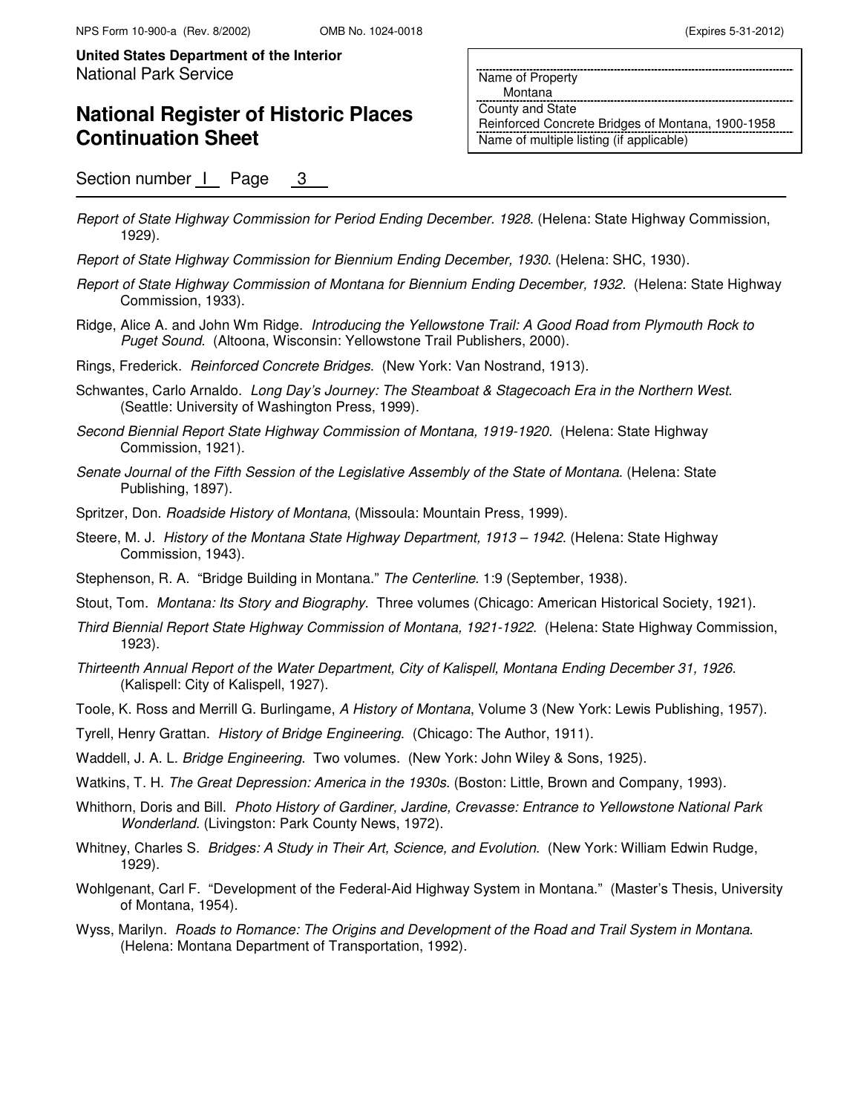### **National Register of Historic Places Continuation Sheet**

 Montana County and State Reinforced Concrete Bridges of Montana, 1900-1958 Name of multiple listing (if applicable)

Name of Property

Section number | Page 3

- Report of State Highway Commission for Period Ending December. 1928. (Helena: State Highway Commission, 1929).
- Report of State Highway Commission for Biennium Ending December, 1930. (Helena: SHC, 1930).
- Report of State Highway Commission of Montana for Biennium Ending December, 1932. (Helena: State Highway Commission, 1933).
- Ridge, Alice A. and John Wm Ridge. Introducing the Yellowstone Trail: A Good Road from Plymouth Rock to Puget Sound. (Altoona, Wisconsin: Yellowstone Trail Publishers, 2000).
- Rings, Frederick. Reinforced Concrete Bridges. (New York: Van Nostrand, 1913).
- Schwantes, Carlo Arnaldo. Long Day's Journey: The Steamboat & Stagecoach Era in the Northern West. (Seattle: University of Washington Press, 1999).
- Second Biennial Report State Highway Commission of Montana, 1919-1920. (Helena: State Highway Commission, 1921).
- Senate Journal of the Fifth Session of the Legislative Assembly of the State of Montana. (Helena: State Publishing, 1897).
- Spritzer, Don. Roadside History of Montana, (Missoula: Mountain Press, 1999).
- Steere, M. J. History of the Montana State Highway Department, 1913 1942. (Helena: State Highway Commission, 1943).
- Stephenson, R. A. "Bridge Building in Montana." The Centerline. 1:9 (September, 1938).
- Stout, Tom. Montana: Its Story and Biography. Three volumes (Chicago: American Historical Society, 1921).
- Third Biennial Report State Highway Commission of Montana, 1921-1922. (Helena: State Highway Commission, 1923).
- Thirteenth Annual Report of the Water Department, City of Kalispell, Montana Ending December 31, 1926. (Kalispell: City of Kalispell, 1927).
- Toole, K. Ross and Merrill G. Burlingame, A History of Montana, Volume 3 (New York: Lewis Publishing, 1957).
- Tyrell, Henry Grattan. History of Bridge Engineering. (Chicago: The Author, 1911).
- Waddell, J. A. L. Bridge Engineering. Two volumes. (New York: John Wiley & Sons, 1925).
- Watkins, T. H. The Great Depression: America in the 1930s. (Boston: Little, Brown and Company, 1993).
- Whithorn, Doris and Bill. Photo History of Gardiner, Jardine, Crevasse: Entrance to Yellowstone National Park Wonderland. (Livingston: Park County News, 1972).
- Whitney, Charles S. Bridges: A Study in Their Art, Science, and Evolution. (New York: William Edwin Rudge, 1929).
- Wohlgenant, Carl F. "Development of the Federal-Aid Highway System in Montana." (Master's Thesis, University of Montana, 1954).
- Wyss, Marilyn. Roads to Romance: The Origins and Development of the Road and Trail System in Montana. (Helena: Montana Department of Transportation, 1992).